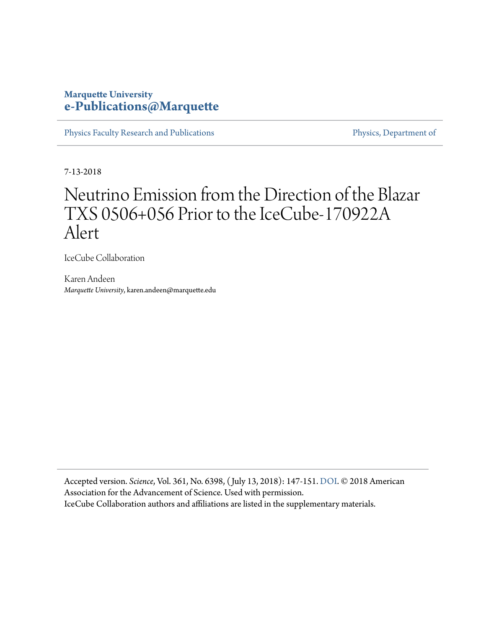## **Marquette University [e-Publications@Marquette](https://epublications.marquette.edu)**

[Physics Faculty Research and Publications](https://epublications.marquette.edu/physics_fac) [Physics, Department of](https://epublications.marquette.edu/physics)

7-13-2018

## Neutrino Emission from the Direction of the Blazar TXS 0506+056 Prior to the IceCube-170922A Alert

IceCube Collaboration

Karen Andeen *Marquette University*, karen.andeen@marquette.edu

Accepted version. *Science*, Vol. 361, No. 6398, ( July 13, 2018): 147-151. [DOI.](http://dx.dor.org/10.1126/science.aat2890) © 2018 American Association for the Advancement of Science. Used with permission. IceCube Collaboration authors and affiliations are listed in the supplementary materials.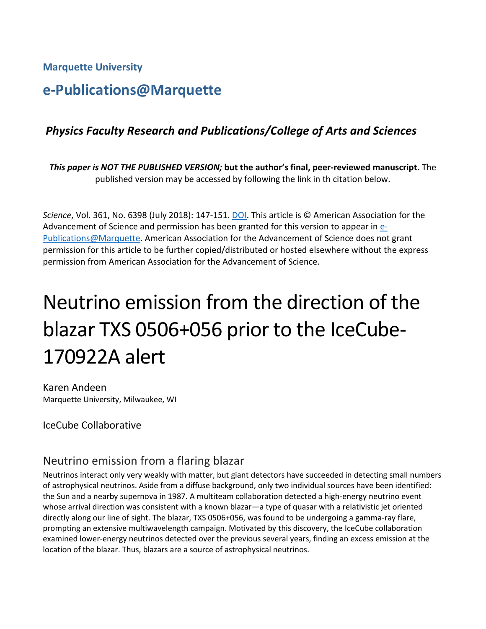**Marquette University**

## **e-Publications@Marquette**

## *Physics Faculty Research and Publications/College of Arts and Sciences*

*This paper is NOT THE PUBLISHED VERSION;* **but the author's final, peer-reviewed manuscript.** The published version may be accessed by following the link in th citation below.

*Science*, Vol. 361, No. 6398 (July 2018): 147-151. DOI. This article is © American Association for the Advancement of Science and permission has been granted for this version to appear in [e-](http://epublications.marquette.edu/)[Publications@Marquette.](http://epublications.marquette.edu/) American Association for the Advancement of Science does not grant permission for this article to be further copied/distributed or hosted elsewhere without the express permission from American Association for the Advancement of Science.

# Neutrino emission from the direction of the blazar TXS 0506+056 prior to the IceCube-170922A alert

Karen Andeen Marquette University, Milwaukee, WI

IceCube Collaborative

### Neutrino emission from a flaring blazar

Neutrinos interact only very weakly with matter, but giant detectors have succeeded in detecting small numbers of astrophysical neutrinos. Aside from a diffuse background, only two individual sources have been identified: the Sun and a nearby supernova in 1987. A multiteam collaboration detected a high-energy neutrino event whose arrival direction was consistent with a known blazar—a type of quasar with a relativistic jet oriented directly along our line of sight. The blazar, TXS 0506+056, was found to be undergoing a gamma-ray flare, prompting an extensive multiwavelength campaign. Motivated by this discovery, the IceCube collaboration examined lower-energy neutrinos detected over the previous several years, finding an excess emission at the location of the blazar. Thus, blazars are a source of astrophysical neutrinos.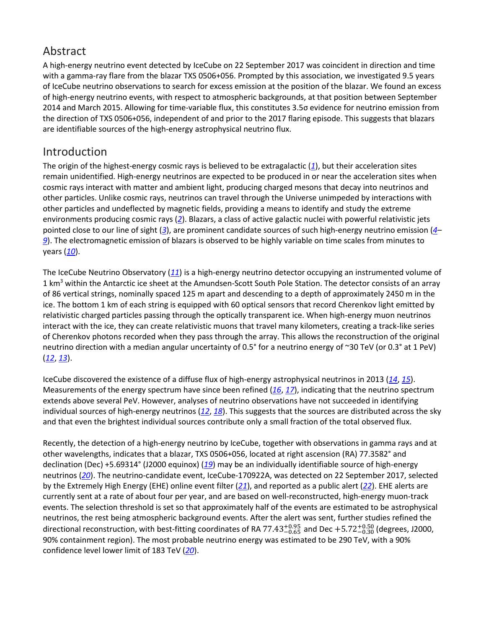## Abstract

A high-energy neutrino event detected by IceCube on 22 September 2017 was coincident in direction and time with a gamma-ray flare from the blazar TXS 0506+056. Prompted by this association, we investigated 9.5 years of IceCube neutrino observations to search for excess emission at the position of the blazar. We found an excess of high-energy neutrino events, with respect to atmospheric backgrounds, at that position between September 2014 and March 2015. Allowing for time-variable flux, this constitutes 3.5σ evidence for neutrino emission from the direction of TXS 0506+056, independent of and prior to the 2017 flaring episode. This suggests that blazars are identifiable sources of the high-energy astrophysical neutrino flux.

## Introduction

The origin of the highest-energy cosmic rays is believed to be extragalactic (*[1](https://science.sciencemag.org/content/361/6398/147#ref-1)*), but their acceleration sites remain unidentified. High-energy neutrinos are expected to be produced in or near the acceleration sites when cosmic rays interact with matter and ambient light, producing charged mesons that decay into neutrinos and other particles. Unlike cosmic rays, neutrinos can travel through the Universe unimpeded by interactions with other particles and undeflected by magnetic fields, providing a means to identify and study the extreme environments producing cosmic rays (*[2](https://science.sciencemag.org/content/361/6398/147#ref-2)*). Blazars, a class of active galactic nuclei with powerful relativistic jets pointed close to our line of sight (*[3](https://science.sciencemag.org/content/361/6398/147#ref-3)*), are prominent candidate sources of such high-energy neutrino emission (*[4](https://science.sciencemag.org/content/361/6398/147#ref-4)*– *[9](https://science.sciencemag.org/content/361/6398/147#ref-9)*). The electromagnetic emission of blazars is observed to be highly variable on time scales from minutes to years (*[10](https://science.sciencemag.org/content/361/6398/147#ref-10)*).

The IceCube Neutrino Observatory (*[11](https://science.sciencemag.org/content/361/6398/147#ref-11)*) is a high-energy neutrino detector occupying an instrumented volume of 1 km<sup>3</sup> within the Antarctic ice sheet at the Amundsen-Scott South Pole Station. The detector consists of an array of 86 vertical strings, nominally spaced 125 m apart and descending to a depth of approximately 2450 m in the ice. The bottom 1 km of each string is equipped with 60 optical sensors that record Cherenkov light emitted by relativistic charged particles passing through the optically transparent ice. When high-energy muon neutrinos interact with the ice, they can create relativistic muons that travel many kilometers, creating a track-like series of Cherenkov photons recorded when they pass through the array. This allows the reconstruction of the original neutrino direction with a median angular uncertainty of 0.5° for a neutrino energy of ~30 TeV (or 0.3° at 1 PeV) (*[12](https://science.sciencemag.org/content/361/6398/147#ref-12)*, *[13](https://science.sciencemag.org/content/361/6398/147#ref-13)*).

IceCube discovered the existence of a diffuse flux of high-energy astrophysical neutrinos in 2013 (*[14](https://science.sciencemag.org/content/361/6398/147#ref-14)*, *[15](https://science.sciencemag.org/content/361/6398/147#ref-15)*). Measurements of the energy spectrum have since been refined (*[16](https://science.sciencemag.org/content/361/6398/147#ref-16)*, *[17](https://science.sciencemag.org/content/361/6398/147#ref-17)*), indicating that the neutrino spectrum extends above several PeV. However, analyses of neutrino observations have not succeeded in identifying individual sources of high-energy neutrinos (*[12](https://science.sciencemag.org/content/361/6398/147#ref-12)*, *[18](https://science.sciencemag.org/content/361/6398/147#ref-18)*). This suggests that the sources are distributed across the sky and that even the brightest individual sources contribute only a small fraction of the total observed flux.

Recently, the detection of a high-energy neutrino by IceCube, together with observations in gamma rays and at other wavelengths, indicates that a blazar, TXS 0506+056, located at right ascension (RA) 77.3582° and declination (Dec) +5.69314° (J2000 equinox) (*[19](https://science.sciencemag.org/content/361/6398/147#ref-19)*) may be an individually identifiable source of high-energy neutrinos (*[20](https://science.sciencemag.org/content/361/6398/147#ref-20)*). The neutrino-candidate event, IceCube-170922A, was detected on 22 September 2017, selected by the Extremely High Energy (EHE) online event filter (*[21](https://science.sciencemag.org/content/361/6398/147#ref-21)*), and reported as a public alert (*[22](https://science.sciencemag.org/content/361/6398/147#ref-22)*). EHE alerts are currently sent at a rate of about four per year, and are based on well-reconstructed, high-energy muon-track events. The selection threshold is set so that approximately half of the events are estimated to be astrophysical neutrinos, the rest being atmospheric background events. After the alert was sent, further studies refined the directional reconstruction, with best-fitting coordinates of RA  $77.43_{-0.65}^{+0.95}$  and Dec  $+5.72_{-0.30}^{+0.50}$  (degrees, J2000, 90% containment region). The most probable neutrino energy was estimated to be 290 TeV, with a 90% confidence level lower limit of 183 TeV (*[20](https://science.sciencemag.org/content/361/6398/147#ref-20)*).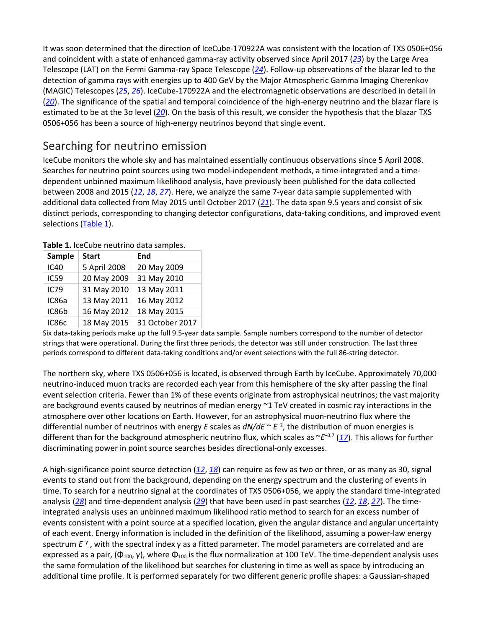It was soon determined that the direction of IceCube-170922A was consistent with the location of TXS 0506+056 and coincident with a state of enhanced gamma-ray activity observed since April 2017 (*[23](https://science.sciencemag.org/content/361/6398/147#ref-23)*) by the Large Area Telescope (LAT) on the Fermi Gamma-ray Space Telescope (*[24](https://science.sciencemag.org/content/361/6398/147#ref-24)*). Follow-up observations of the blazar led to the detection of gamma rays with energies up to 400 GeV by the Major Atmospheric Gamma Imaging Cherenkov (MAGIC) Telescopes (*[25](https://science.sciencemag.org/content/361/6398/147#ref-25)*, *[26](https://science.sciencemag.org/content/361/6398/147#ref-26)*). IceCube-170922A and the electromagnetic observations are described in detail in (*[20](https://science.sciencemag.org/content/361/6398/147#ref-20)*). The significance of the spatial and temporal coincidence of the high-energy neutrino and the blazar flare is estimated to be at the 3σ level (*[20](https://science.sciencemag.org/content/361/6398/147#ref-20)*). On the basis of this result, we consider the hypothesis that the blazar TXS 0506+056 has been a source of high-energy neutrinos beyond that single event.

### Searching for neutrino emission

IceCube monitors the whole sky and has maintained essentially continuous observations since 5 April 2008. Searches for neutrino point sources using two model-independent methods, a time-integrated and a timedependent unbinned maximum likelihood analysis, have previously been published for the data collected between 2008 and 2015 (*[12](https://science.sciencemag.org/content/361/6398/147#ref-12)*, *[18](https://science.sciencemag.org/content/361/6398/147#ref-18)*, *[27](https://science.sciencemag.org/content/361/6398/147#ref-27)*). Here, we analyze the same 7-year data sample supplemented with additional data collected from May 2015 until October 2017 (*[21](https://science.sciencemag.org/content/361/6398/147#ref-21)*). The data span 9.5 years and consist of six distinct periods, corresponding to changing detector configurations, data-taking conditions, and improved event selections [\(Table 1\)](https://science.sciencemag.org/content/361/6398/147#T1).

| <b>Sample</b> | <b>Start</b> | End             |
|---------------|--------------|-----------------|
| <b>IC40</b>   | 5 April 2008 | 20 May 2009     |
| <b>IC59</b>   | 20 May 2009  | 31 May 2010     |
| <b>IC79</b>   | 31 May 2010  | 13 May 2011     |
| IC86a         | 13 May 2011  | 16 May 2012     |
| IC86b         | 16 May 2012  | 18 May 2015     |
| <b>IC86c</b>  | 18 May 2015  | 31 October 2017 |

**Table 1.** IceCube neutrino data samples.

Six data-taking periods make up the full 9.5-year data sample. Sample numbers correspond to the number of detector strings that were operational. During the first three periods, the detector was still under construction. The last three periods correspond to different data-taking conditions and/or event selections with the full 86-string detector.

The northern sky, where TXS 0506+056 is located, is observed through Earth by IceCube. Approximately 70,000 neutrino-induced muon tracks are recorded each year from this hemisphere of the sky after passing the final event selection criteria. Fewer than 1% of these events originate from astrophysical neutrinos; the vast majority are background events caused by neutrinos of median energy ~1 TeV created in cosmic ray interactions in the atmosphere over other locations on Earth. However, for an astrophysical muon-neutrino flux where the differential number of neutrinos with energy *E* scales as *dN/dE* ~ *E*–2 , the distribution of muon energies is different than for the background atmospheric neutrino flux, which scales as ~*E*–3.7 (*[17](https://science.sciencemag.org/content/361/6398/147#ref-17)*). This allows for further discriminating power in point source searches besides directional-only excesses.

A high-significance point source detection (*[12](https://science.sciencemag.org/content/361/6398/147#ref-12)*, *[18](https://science.sciencemag.org/content/361/6398/147#ref-18)*) can require as few as two or three, or as many as 30, signal events to stand out from the background, depending on the energy spectrum and the clustering of events in time. To search for a neutrino signal at the coordinates of TXS 0506+056, we apply the standard time-integrated analysis (*[28](https://science.sciencemag.org/content/361/6398/147#ref-28)*) and time-dependent analysis (*[29](https://science.sciencemag.org/content/361/6398/147#ref-29)*) that have been used in past searches (*[12](https://science.sciencemag.org/content/361/6398/147#ref-12)*, *[18](https://science.sciencemag.org/content/361/6398/147#ref-18)*, *[27](https://science.sciencemag.org/content/361/6398/147#ref-27)*). The timeintegrated analysis uses an unbinned maximum likelihood ratio method to search for an excess number of events consistent with a point source at a specified location, given the angular distance and angular uncertainty of each event. Energy information is included in the definition of the likelihood, assuming a power-law energy spectrum *E*–<sup>γ</sup> , with the spectral index γ as a fitted parameter. The model parameters are correlated and are expressed as a pair, (Φ<sub>100</sub>, γ), where Φ<sub>100</sub> is the flux normalization at 100 TeV. The time-dependent analysis uses the same formulation of the likelihood but searches for clustering in time as well as space by introducing an additional time profile. It is performed separately for two different generic profile shapes: a Gaussian-shaped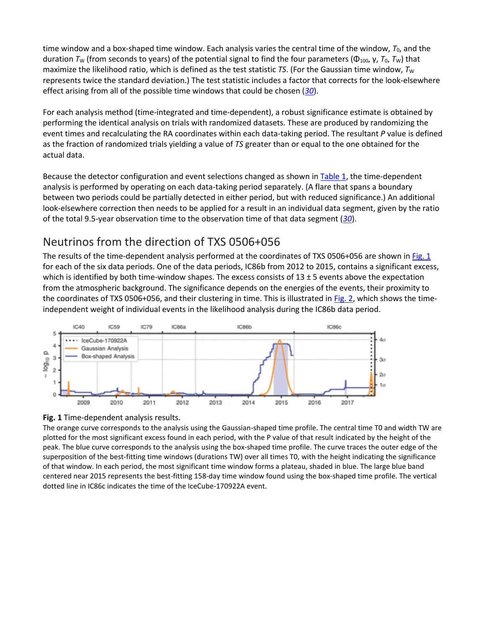time window and a box-shaped time window. Each analysis varies the central time of the window,  $T_0$ , and the duration  $T_w$  (from seconds to years) of the potential signal to find the four parameters (Φ<sub>100</sub>, γ,  $T_0$ ,  $T_w$ ) that maximize the likelihood ratio, which is defined as the test statistic *TS*. (For the Gaussian time window,  $T_W$ represents twice the standard deviation.) The test statistic includes a factor that corrects for the look-elsewhere effect arising from all of the possible time windows that could be chosen (*[30](https://science.sciencemag.org/content/361/6398/147#ref-30)*).

For each analysis method (time-integrated and time-dependent), a robust significance estimate is obtained by performing the identical analysis on trials with randomized datasets. These are produced by randomizing the event times and recalculating the RA coordinates within each data-taking period. The resultant *P* value is defined as the fraction of randomized trials yielding a value of *TS* greater than or equal to the one obtained for the actual data.

Because the detector configuration and event selections changed as shown i[n Table 1,](https://science.sciencemag.org/content/361/6398/147#T1) the time-dependent analysis is performed by operating on each data-taking period separately. (A flare that spans a boundary between two periods could be partially detected in either period, but with reduced significance.) An additional look-elsewhere correction then needs to be applied for a result in an individual data segment, given by the ratio of the total 9.5-year observation time to the observation time of that data segment (*[30](https://science.sciencemag.org/content/361/6398/147#ref-30)*).

## Neutrinos from the direction of TXS 0506+056

The results of the time-dependent analysis performed at the coordinates of TXS 0506+056 are shown in [Fig. 1](https://science.sciencemag.org/content/361/6398/147#F1) for each of the six data periods. One of the data periods, IC86b from 2012 to 2015, contains a significant excess, which is identified by both time-window shapes. The excess consists of  $13 \pm 5$  events above the expectation from the atmospheric background. The significance depends on the energies of the events, their proximity to the coordinates of TXS 0506+056, and their clustering in time. This is illustrated in [Fig. 2,](https://science.sciencemag.org/content/361/6398/147#F2) which shows the timeindependent weight of individual events in the likelihood analysis during the IC86b data period.



#### **Fig. 1** Time-dependent analysis results.

The orange curve corresponds to the analysis using the Gaussian-shaped time profile. The central time T0 and width TW are plotted for the most significant excess found in each period, with the P value of that result indicated by the height of the peak. The blue curve corresponds to the analysis using the box-shaped time profile. The curve traces the outer edge of the superposition of the best-fitting time windows (durations TW) over all times T0, with the height indicating the significance of that window. In each period, the most significant time window forms a plateau, shaded in blue. The large blue band centered near 2015 represents the best-fitting 158-day time window found using the box-shaped time profile. The vertical dotted line in IC86c indicates the time of the IceCube-170922A event.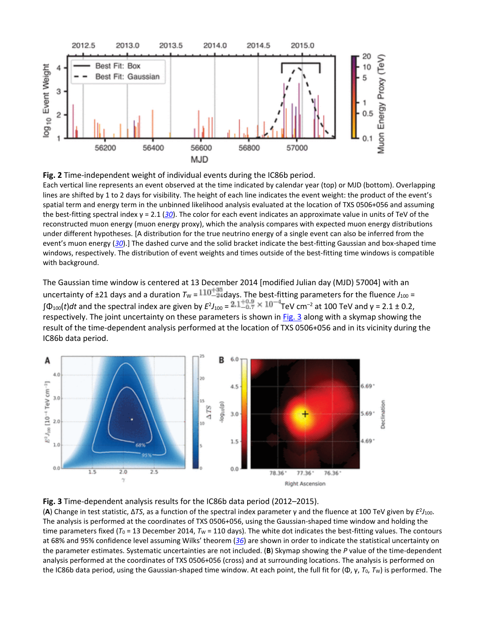



The Gaussian time window is centered at 13 December 2014 [modified Julian day (MJD) 57004] with an uncertainty of ±21 days and a duration  $T_W = 110^{10}$  adays. The best-fitting parameters for the fluence  $J_{100}$  =  $∫Φ<sub>100</sub>(t)dt$  and the spectral index are given by  $E<sup>2</sup>J<sub>100</sub> = 2.1<sup>+</sup>−0.7<sup>+</sup>}/{10<sup>-4</sup>}$  TeV cm<sup>-2</sup> at 100 TeV and γ = 2.1 ± 0.2, respectively. The joint uncertainty on these parameters is shown i[n Fig. 3](https://science.sciencemag.org/content/361/6398/147#F3) along with a skymap showing the result of the time-dependent analysis performed at the location of TXS 0506+056 and in its vicinity during the IC86b data period.





(**A**) Change in test statistic, Δ*TS*, as a function of the spectral index parameter γ and the fluence at 100 TeV given by *E*<sup>2</sup> *J*100. The analysis is performed at the coordinates of TXS 0506+056, using the Gaussian-shaped time window and holding the time parameters fixed ( $T_0$  = 13 December 2014,  $T_W$  = 110 days). The white dot indicates the best-fitting values. The contours at 68% and 95% confidence level assuming Wilks' theorem (*[36](https://science.sciencemag.org/content/361/6398/147#ref-36)*) are shown in order to indicate the statistical uncertainty on the parameter estimates. Systematic uncertainties are not included. (**B**) Skymap showing the *P* value of the time-dependent analysis performed at the coordinates of TXS 0506+056 (cross) and at surrounding locations. The analysis is performed on the IC86b data period, using the Gaussian-shaped time window. At each point, the full fit for (Φ, γ, *T*<sub>0</sub>, *T*<sub>W</sub>) is performed. The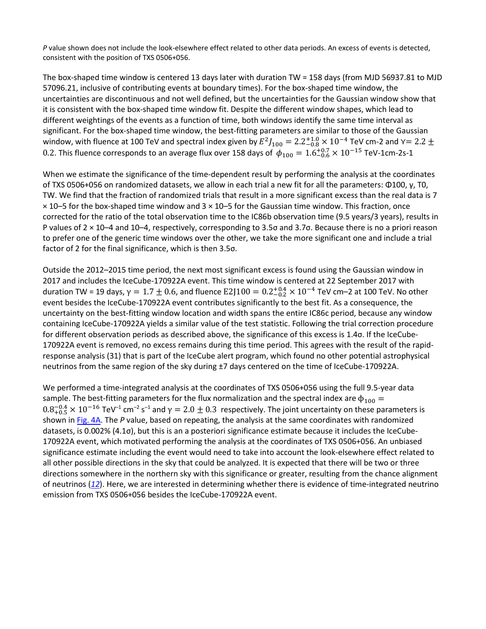*P* value shown does not include the look-elsewhere effect related to other data periods. An excess of events is detected, consistent with the position of TXS 0506+056.

The box-shaped time window is centered 13 days later with duration TW = 158 days (from MJD 56937.81 to MJD 57096.21, inclusive of contributing events at boundary times). For the box-shaped time window, the uncertainties are discontinuous and not well defined, but the uncertainties for the Gaussian window show that it is consistent with the box-shaped time window fit. Despite the different window shapes, which lead to different weightings of the events as a function of time, both windows identify the same time interval as significant. For the box-shaped time window, the best-fitting parameters are similar to those of the Gaussian window, with fluence at 100 TeV and spectral index given by  $E^2 J_{100} = 2.2^{+1.0}_{-0.8} \times 10^{-4}$  TeV cm-2 and Y= 2.2  $\pm$ 0.2. This fluence corresponds to an average flux over 158 days of  $\phi_{100} = 1.6^{+0.7}_{-0.6} \times 10^{-15}$  TeV-1cm-2s-1

When we estimate the significance of the time-dependent result by performing the analysis at the coordinates of TXS 0506+056 on randomized datasets, we allow in each trial a new fit for all the parameters: Φ100, γ, T0, TW. We find that the fraction of randomized trials that result in a more significant excess than the real data is 7  $\times$  10–5 for the box-shaped time window and 3  $\times$  10–5 for the Gaussian time window. This fraction, once corrected for the ratio of the total observation time to the IC86b observation time (9.5 years/3 years), results in P values of 2 × 10–4 and 10–4, respectively, corresponding to 3.5σ and 3.7σ. Because there is no a priori reason to prefer one of the generic time windows over the other, we take the more significant one and include a trial factor of 2 for the final significance, which is then 3.5σ.

Outside the 2012–2015 time period, the next most significant excess is found using the Gaussian window in 2017 and includes the IceCube-170922A event. This time window is centered at 22 September 2017 with duration TW = 19 days,  $γ = 1.7 ± 0.6$ , and fluence  $E2$ J $100 = 0.2^{+0.4}_{-0.2} × 10^{-4}$  TeV cm–2 at 100 TeV. No other event besides the IceCube-170922A event contributes significantly to the best fit. As a consequence, the uncertainty on the best-fitting window location and width spans the entire IC86c period, because any window containing IceCube-170922A yields a similar value of the test statistic. Following the trial correction procedure for different observation periods as described above, the significance of this excess is 1.4σ. If the IceCube-170922A event is removed, no excess remains during this time period. This agrees with the result of the rapidresponse analysis [\(31\)](https://science.sciencemag.org/content/361/6398/147#ref-31) that is part of the IceCube alert program, which found no other potential astrophysical neutrinos from the same region of the sky during ±7 days centered on the time of IceCube-170922A.

We performed a time-integrated analysis at the coordinates of TXS 0506+056 using the full 9.5-year data sample. The best-fitting parameters for the flux normalization and the spectral index are  $\phi_{100} =$  $0.8_{+0.5}^{-0.4} \times 10^{-16}$  TeV<sup>-1</sup> cm<sup>-2</sup> s<sup>-1</sup> and  $\gamma = 2.0 \pm 0.3$  respectively. The joint uncertainty on these parameters is shown in [Fig. 4A.](https://science.sciencemag.org/content/361/6398/147#F4) The *P* value, based on repeating, the analysis at the same coordinates with randomized datasets, is 0.002% (4.1σ), but this is an a posteriori significance estimate because it includes the IceCube-170922A event, which motivated performing the analysis at the coordinates of TXS 0506+056. An unbiased significance estimate including the event would need to take into account the look-elsewhere effect related to all other possible directions in the sky that could be analyzed. It is expected that there will be two or three directions somewhere in the northern sky with this significance or greater, resulting from the chance alignment of neutrinos (*[12](https://science.sciencemag.org/content/361/6398/147#ref-12)*). Here, we are interested in determining whether there is evidence of time-integrated neutrino emission from TXS 0506+056 besides the IceCube-170922A event.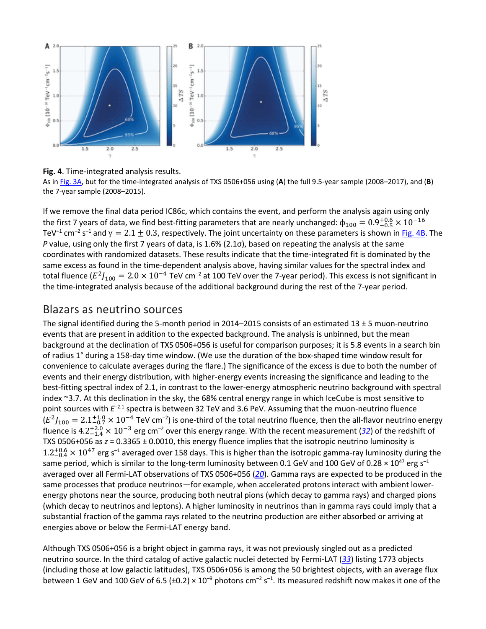

**Fig. 4**. Time-integrated analysis results.

As in [Fig. 3A,](https://science.sciencemag.org/content/361/6398/147#F3) but for the time-integrated analysis of TXS 0506+056 using (**A**) the full 9.5-year sample (2008–2017), and (**B**) the 7-year sample (2008–2015).

If we remove the final data period IC86c, which contains the event, and perform the analysis again using only the first 7 years of data, we find best-fitting parameters that are nearly unchanged:  $\phi_{100} = 0.9_{-0.5}^{+0.6} \times 10^{-16}$ TeV<sup>-1</sup> cm<sup>-2</sup> s<sup>-1</sup> and  $\gamma = 2.1 \pm 0.3$ , respectively. The joint uncertainty on these parameters is shown in [Fig. 4B.](https://science.sciencemag.org/content/361/6398/147#F4) The *P* value, using only the first 7 years of data, is 1.6% (2.1σ), based on repeating the analysis at the same coordinates with randomized datasets. These results indicate that the time-integrated fit is dominated by the same excess as found in the time-dependent analysis above, having similar values for the spectral index and total fluence  $(E^2I_{100} = 2.0 \times 10^{-4}$  TeV cm<sup>-2</sup> at 100 TeV over the 7-year period). This excess is not significant in the time-integrated analysis because of the additional background during the rest of the 7-year period.

#### Blazars as neutrino sources

The signal identified during the 5-month period in 2014–2015 consists of an estimated 13 ± 5 muon-neutrino events that are present in addition to the expected background. The analysis is unbinned, but the mean background at the declination of TXS 0506+056 is useful for comparison purposes; it is 5.8 events in a search bin of radius 1° during a 158-day time window. (We use the duration of the box-shaped time window result for convenience to calculate averages during the flare.) The significance of the excess is due to both the number of events and their energy distribution, with higher-energy events increasing the significance and leading to the best-fitting spectral index of 2.1, in contrast to the lower-energy atmospheric neutrino background with spectral index ~3.7. At this declination in the sky, the 68% central energy range in which IceCube is most sensitive to point sources with *E*–2.1 spectra is between 32 TeV and 3.6 PeV. Assuming that the muon-neutrino fluence  $(E^2J_{100} = 2.1^{+1.0}_{-0.7} \times 10^{-4}$  TeV cm<sup>-2</sup>) is one-third of the total neutrino fluence, then the all-flavor neutrino energy fluence is 4.2<sup>+2.0</sup> × 10<sup>-3</sup> erg cm<sup>-2</sup> over this energy range. With the recent measurement (<u>[32](https://science.sciencemag.org/content/361/6398/147#ref-32)</u>) of the redshift of TXS 0506+056 as *z* = 0.3365 ± 0.0010, this energy fluence implies that the isotropic neutrino luminosity is  $1.2^{+0.6}_{-0.4}\times10^{47}$  erg s<sup>-1</sup> averaged over 158 days. This is higher than the isotropic gamma-ray luminosity during the same period, which is similar to the long-term luminosity between 0.1 GeV and 100 GeV of 0.28  $\times$  10<sup>47</sup> erg s<sup>-1</sup> averaged over all Fermi-LAT observations of TXS 0506+056 (*[20](https://science.sciencemag.org/content/361/6398/147#ref-20)*). Gamma rays are expected to be produced in the same processes that produce neutrinos—for example, when accelerated protons interact with ambient lowerenergy photons near the source, producing both neutral pions (which decay to gamma rays) and charged pions (which decay to neutrinos and leptons). A higher luminosity in neutrinos than in gamma rays could imply that a substantial fraction of the gamma rays related to the neutrino production are either absorbed or arriving at energies above or below the Fermi-LAT energy band.

Although TXS 0506+056 is a bright object in gamma rays, it was not previously singled out as a predicted neutrino source. In the third catalog of active galactic nuclei detected by Fermi-LAT (*[33](https://science.sciencemag.org/content/361/6398/147#ref-33)*) listing 1773 objects (including those at low galactic latitudes), TXS 0506+056 is among the 50 brightest objects, with an average flux between 1 GeV and 100 GeV of 6.5 ( $\pm$ 0.2)  $\times$  10<sup>-9</sup> photons cm<sup>-2</sup> s<sup>-1</sup>. Its measured redshift now makes it one of the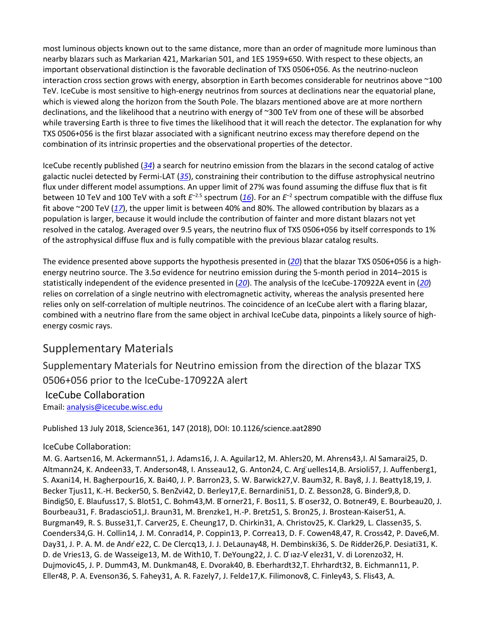most luminous objects known out to the same distance, more than an order of magnitude more luminous than nearby blazars such as Markarian 421, Markarian 501, and 1ES 1959+650. With respect to these objects, an important observational distinction is the favorable declination of TXS 0506+056. As the neutrino-nucleon interaction cross section grows with energy, absorption in Earth becomes considerable for neutrinos above ~100 TeV. IceCube is most sensitive to high-energy neutrinos from sources at declinations near the equatorial plane, which is viewed along the horizon from the South Pole. The blazars mentioned above are at more northern declinations, and the likelihood that a neutrino with energy of ~300 TeV from one of these will be absorbed while traversing Earth is three to five times the likelihood that it will reach the detector. The explanation for why TXS 0506+056 is the first blazar associated with a significant neutrino excess may therefore depend on the combination of its intrinsic properties and the observational properties of the detector.

IceCube recently published (*[34](https://science.sciencemag.org/content/361/6398/147#ref-34)*) a search for neutrino emission from the blazars in the second catalog of active galactic nuclei detected by Fermi-LAT (*[35](https://science.sciencemag.org/content/361/6398/147#ref-35)*), constraining their contribution to the diffuse astrophysical neutrino flux under different model assumptions. An upper limit of 27% was found assuming the diffuse flux that is fit between 10 TeV and 100 TeV with a soft  $E^{-2.5}$  spectrum ([16](https://science.sciencemag.org/content/361/6398/147#ref-16)). For an  $E^{-2}$  spectrum compatible with the diffuse flux fit above ~200 TeV (*[17](https://science.sciencemag.org/content/361/6398/147#ref-17)*), the upper limit is between 40% and 80%. The allowed contribution by blazars as a population is larger, because it would include the contribution of fainter and more distant blazars not yet resolved in the catalog. Averaged over 9.5 years, the neutrino flux of TXS 0506+056 by itself corresponds to 1% of the astrophysical diffuse flux and is fully compatible with the previous blazar catalog results.

The evidence presented above supports the hypothesis presented in (*[20](https://science.sciencemag.org/content/361/6398/147#ref-20)*) that the blazar TXS 0506+056 is a highenergy neutrino source. The 3.5σ evidence for neutrino emission during the 5-month period in 2014–2015 is statistically independent of the evidence presented in (*[20](https://science.sciencemag.org/content/361/6398/147#ref-20)*). The analysis of the IceCube-170922A event in (*[20](https://science.sciencemag.org/content/361/6398/147#ref-20)*) relies on correlation of a single neutrino with electromagnetic activity, whereas the analysis presented here relies only on self-correlation of multiple neutrinos. The coincidence of an IceCube alert with a flaring blazar, combined with a neutrino flare from the same object in archival IceCube data, pinpoints a likely source of highenergy cosmic rays.

## Supplementary Materials

Supplementary Materials for Neutrino emission from the direction of the blazar TXS 0506+056 prior to the IceCube-170922A alert IceCube Collaboration Email: [analysis@icecube.wisc.edu](mailto:analysis@icecube.wisc.edu)

Published 13 July 2018, Science361, 147 (2018), DOI: 10.1126/science.aat2890

#### IceCube Collaboration:

M. G. Aartsen16, M. Ackermann51, J. Adams16, J. A. Aguilar12, M. Ahlers20, M. Ahrens43,I. Al Samarai25, D. Altmann24, K. Andeen33, T. Anderson48, I. Ansseau12, G. Anton24, C. Arg ̈uelles14,B. Arsioli57, J. Auffenberg1, S. Axani14, H. Bagherpour16, X. Bai40, J. P. Barron23, S. W. Barwick27,V. Baum32, R. Bay8, J. J. Beatty18,19, J. Becker Tjus11, K.-H. Becker50, S. BenZvi42, D. Berley17,E. Bernardini51, D. Z. Besson28, G. Binder9,8, D. Bindig50, E. Blaufuss17, S. Blot51, C. Bohm43,M. B ̈orner21, F. Bos11, S. B ̈oser32, O. Botner49, E. Bourbeau20, J. Bourbeau31, F. Bradascio51,J. Braun31, M. Brenzke1, H.-P. Bretz51, S. Bron25, J. Brostean-Kaiser51, A. Burgman49, R. S. Busse31,T. Carver25, E. Cheung17, D. Chirkin31, A. Christov25, K. Clark29, L. Classen35, S. Coenders34,G. H. Collin14, J. M. Conrad14, P. Coppin13, P. Correa13, D. F. Cowen48,47, R. Cross42, P. Dave6,M. Day31, J. P. A. M. de Andr ́e22, C. De Clercq13, J. J. DeLaunay48, H. Dembinski36, S. De Ridder26,P. Desiati31, K. D. de Vries13, G. de Wasseige13, M. de With10, T. DeYoung22, J. C. D ́ıaz-V ́elez31, V. di Lorenzo32, H. Dujmovic45, J. P. Dumm43, M. Dunkman48, E. Dvorak40, B. Eberhardt32,T. Ehrhardt32, B. Eichmann11, P. Eller48, P. A. Evenson36, S. Fahey31, A. R. Fazely7, J. Felde17,K. Filimonov8, C. Finley43, S. Flis43, A.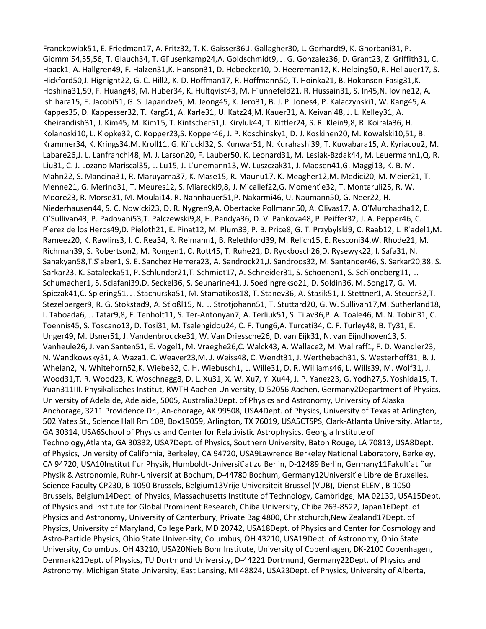Franckowiak51, E. Friedman17, A. Fritz32, T. K. Gaisser36,J. Gallagher30, L. Gerhardt9, K. Ghorbani31, P. Giommi54,55,56, T. Glauch34, T. Gl ̈usenkamp24,A. Goldschmidt9, J. G. Gonzalez36, D. Grant23, Z. Griffith31, C. Haack1, A. Hallgren49, F. Halzen31,K. Hanson31, D. Hebecker10, D. Heereman12, K. Helbing50, R. Hellauer17, S. Hickford50,J. Hignight22, G. C. Hill2, K. D. Hoffman17, R. Hoffmann50, T. Hoinka21, B. Hokanson-Fasig31,K. Hoshina31,59, F. Huang48, M. Huber34, K. Hultqvist43, M. H unnefeld21, R. Hussain31, S. In45, N. Iovine12, A. Ishihara15, E. Jacobi51, G. S. Japaridze5, M. Jeong45, K. Jero31, B. J. P. Jones4, P. Kalaczynski1, W. Kang45, A. Kappes35, D. Kappesser32, T. Karg51, A. Karle31, U. Katz24,M. Kauer31, A. Keivani48, J. L. Kelley31, A. Kheirandish31, J. Kim45, M. Kim15, T. Kintscher51,J. Kiryluk44, T. Kittler24, S. R. Klein9,8, R. Koirala36, H. Kolanoski10, L. K ̈opke32, C. Kopper23,S. Kopper46, J. P. Koschinsky1, D. J. Koskinen20, M. Kowalski10,51, B. Krammer34, K. Krings34,M. Kroll11, G. Kr ̈uckl32, S. Kunwar51, N. Kurahashi39, T. Kuwabara15, A. Kyriacou2, M. Labare26,J. L. Lanfranchi48, M. J. Larson20, F. Lauber50, K. Leonard31, M. Lesiak-Bzdak44, M. Leuermann1,Q. R. Liu31, C. J. Lozano Mariscal35, L. Lu15, J. L ̈unemann13, W. Luszczak31, J. Madsen41,G. Maggi13, K. B. M. Mahn22, S. Mancina31, R. Maruyama37, K. Mase15, R. Maunu17, K. Meagher12,M. Medici20, M. Meier21, T. Menne21, G. Merino31, T. Meures12, S. Miarecki9,8, J. Micallef22,G. Moment ́e32, T. Montaruli25, R. W. Moore23, R. Morse31, M. Moulai14, R. Nahnhauer51,P. Nakarmi46, U. Naumann50, G. Neer22, H. Niederhausen44, S. C. Nowicki23, D. R. Nygren9,A. Obertacke Pollmann50, A. Olivas17, A. O'Murchadha12, E. O'Sullivan43, P. Padovani53,T. Palczewski9,8, H. Pandya36, D. V. Pankova48, P. Peiffer32, J. A. Pepper46, C. P ́erez de los Heros49,D. Pieloth21, E. Pinat12, M. Plum33, P. B. Price8, G. T. Przybylski9, C. Raab12, L. R ̈adel1,M. Rameez20, K. Rawlins3, I. C. Rea34, R. Reimann1, B. Relethford39, M. Relich15, E. Resconi34,W. Rhode21, M. Richman39, S. Robertson2, M. Rongen1, C. Rott45, T. Ruhe21, D. Ryckbosch26,D. Rysewyk22, I. Safa31, N. Sahakyan58,T.S ̈alzer1, S. E. Sanchez Herrera23, A. Sandrock21,J. Sandroos32, M. Santander46, S. Sarkar20,38, S. Sarkar23, K. Satalecka51, P. Schlunder21, T. Schmidt17, A. Schneider31, S. Schoenen1, S. Sch oneberg11, L. Schumacher1, S. Sclafani39,D. Seckel36, S. Seunarine41, J. Soedingrekso21, D. Soldin36, M. Song17, G. M. Spiczak41,C. Spiering51, J. Stachurska51, M. Stamatikos18, T. Stanev36, A. Stasik51, J. Stettner1, A. Steuer32,T. Stezelberger9, R. G. Stokstad9, A. St oßl15, N. L. Strotjohann51, T. Stuttard20, G. W. Sullivan17,M. Sutherland18, I. Taboada6, J. Tatar9,8, F. Tenholt11, S. Ter-Antonyan7, A. Terliuk51, S. Tilav36,P. A. Toale46, M. N. Tobin31, C. Toennis45, S. Toscano13, D. Tosi31, M. Tselengidou24, C. F. Tung6,A. Turcati34, C. F. Turley48, B. Ty31, E. Unger49, M. Usner51, J. Vandenbroucke31, W. Van Driessche26, D. van Eijk31, N. van Eijndhoven13, S. Vanheule26, J. van Santen51, E. Vogel1, M. Vraeghe26,C. Walck43, A. Wallace2, M. Wallraff1, F. D. Wandler23, N. Wandkowsky31, A. Waza1, C. Weaver23,M. J. Weiss48, C. Wendt31, J. Werthebach31, S. Westerhoff31, B. J. Whelan2, N. Whitehorn52,K. Wiebe32, C. H. Wiebusch1, L. Wille31, D. R. Williams46, L. Wills39, M. Wolf31, J. Wood31,T. R. Wood23, K. Woschnagg8, D. L. Xu31, X. W. Xu7, Y. Xu44, J. P. Yanez23, G. Yodh27,S. Yoshida15, T. Yuan311III. Physikalisches Institut, RWTH Aachen University, D-52056 Aachen, Germany2Department of Physics, University of Adelaide, Adelaide, 5005, Australia3Dept. of Physics and Astronomy, University of Alaska Anchorage, 3211 Providence Dr., An-chorage, AK 99508, USA4Dept. of Physics, University of Texas at Arlington, 502 Yates St., Science Hall Rm 108, Box19059, Arlington, TX 76019, USA5CTSPS, Clark-Atlanta University, Atlanta, GA 30314, USA6School of Physics and Center for Relativistic Astrophysics, Georgia Institute of Technology,Atlanta, GA 30332, USA7Dept. of Physics, Southern University, Baton Rouge, LA 70813, USA8Dept. of Physics, University of California, Berkeley, CA 94720, USA9Lawrence Berkeley National Laboratory, Berkeley, CA 94720, USA10Institut f ̈ur Physik, Humboldt-Universit ̈at zu Berlin, D-12489 Berlin, Germany11Fakult ̈at f ̈ur Physik & Astronomie, Ruhr-Universit ̈at Bochum, D-44780 Bochum, Germany12Universit ́e Libre de Bruxelles, Science Faculty CP230, B-1050 Brussels, Belgium13Vrije Universiteit Brussel (VUB), Dienst ELEM, B-1050 Brussels, Belgium14Dept. of Physics, Massachusetts Institute of Technology, Cambridge, MA 02139, USA15Dept. of Physics and Institute for Global Prominent Research, Chiba University, Chiba 263-8522, Japan16Dept. of Physics and Astronomy, University of Canterbury, Private Bag 4800, Christchurch,New Zealand17Dept. of Physics, University of Maryland, College Park, MD 20742, USA18Dept. of Physics and Center for Cosmology and Astro-Particle Physics, Ohio State Univer-sity, Columbus, OH 43210, USA19Dept. of Astronomy, Ohio State University, Columbus, OH 43210, USA20Niels Bohr Institute, University of Copenhagen, DK-2100 Copenhagen, Denmark21Dept. of Physics, TU Dortmund University, D-44221 Dortmund, Germany22Dept. of Physics and Astronomy, Michigan State University, East Lansing, MI 48824, USA23Dept. of Physics, University of Alberta,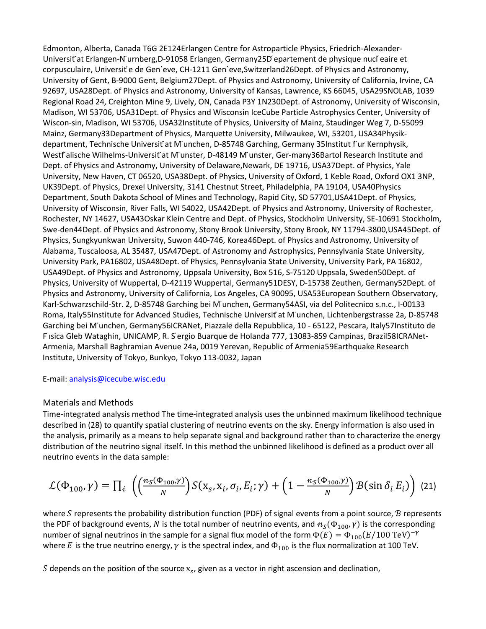Edmonton, Alberta, Canada T6G 2E124Erlangen Centre for Astroparticle Physics, Friedrich-Alexander-Universit at Erlangen-N urnberg, D-91058 Erlangen, Germany 25D epartement de physique nucl eaire et corpusculaire, Universit e de Gen`eve, CH-1211 Gen`eve, Switzerland 26 Dept. of Physics and Astronomy, University of Gent, B-9000 Gent, Belgium27Dept. of Physics and Astronomy, University of California, Irvine, CA 92697, USA28Dept. of Physics and Astronomy, University of Kansas, Lawrence, KS 66045, USA29SNOLAB, 1039 Regional Road 24, Creighton Mine 9, Lively, ON, Canada P3Y 1N230Dept. of Astronomy, University of Wisconsin, Madison, WI 53706, USA31Dept. of Physics and Wisconsin IceCube Particle Astrophysics Center, University of Wiscon-sin, Madison, WI 53706, USA32Institute of Physics, University of Mainz, Staudinger Weg 7, D-55099 Mainz, Germany33Department of Physics, Marquette University, Milwaukee, WI, 53201, USA34Physikdepartment, Technische Universit ̈at M ̈unchen, D-85748 Garching, Germany 35Institut f ̈ur Kernphysik, Westf alische Wilhelms-Universit at M unster, D-48149 M unster, Ger-many36Bartol Research Institute and Dept. of Physics and Astronomy, University of Delaware,Newark, DE 19716, USA37Dept. of Physics, Yale University, New Haven, CT 06520, USA38Dept. of Physics, University of Oxford, 1 Keble Road, Oxford OX1 3NP, UK39Dept. of Physics, Drexel University, 3141 Chestnut Street, Philadelphia, PA 19104, USA40Physics Department, South Dakota School of Mines and Technology, Rapid City, SD 57701,USA41Dept. of Physics, University of Wisconsin, River Falls, WI 54022, USA42Dept. of Physics and Astronomy, University of Rochester, Rochester, NY 14627, USA43Oskar Klein Centre and Dept. of Physics, Stockholm University, SE-10691 Stockholm, Swe-den44Dept. of Physics and Astronomy, Stony Brook University, Stony Brook, NY 11794-3800,USA45Dept. of Physics, Sungkyunkwan University, Suwon 440-746, Korea46Dept. of Physics and Astronomy, University of Alabama, Tuscaloosa, AL 35487, USA47Dept. of Astronomy and Astrophysics, Pennsylvania State University, University Park, PA16802, USA48Dept. of Physics, Pennsylvania State University, University Park, PA 16802, USA49Dept. of Physics and Astronomy, Uppsala University, Box 516, S-75120 Uppsala, Sweden50Dept. of Physics, University of Wuppertal, D-42119 Wuppertal, Germany51DESY, D-15738 Zeuthen, Germany52Dept. of Physics and Astronomy, University of California, Los Angeles, CA 90095, USA53European Southern Observatory, Karl-Schwarzschild-Str. 2, D-85748 Garching bei M ̈unchen, Germany54ASI, via del Politecnico s.n.c., I-00133 Roma, Italy55Institute for Advanced Studies, Technische Universit ̈at M ̈unchen, Lichtenbergstrasse 2a, D-85748 Garching bei M ̈unchen, Germany56ICRANet, Piazzale della Repubblica, 10 - 65122, Pescara, Italy57Instituto de F ́ısica Gleb Wataghin, UNICAMP, R. S ́ergio Buarque de Holanda 777, 13083-859 Campinas, Brazil58ICRANet-Armenia, Marshall Baghramian Avenue 24a, 0019 Yerevan, Republic of Armenia59Earthquake Research Institute, University of Tokyo, Bunkyo, Tokyo 113-0032, Japan

E-mail: [analysis@icecube.wisc.edu](mailto:analysis@icecube.wisc.edu)

#### Materials and Methods

Time-integrated analysis method The time-integrated analysis uses the unbinned maximum likelihood technique described in (28) to quantify spatial clustering of neutrino events on the sky. Energy information is also used in the analysis, primarily as a means to help separate signal and background rather than to characterize the energy distribution of the neutrino signal itself. In this method the unbinned likelihood is defined as a product over all neutrino events in the data sample:

$$
\mathcal{L}(\Phi_{100}, \gamma) = \prod_i \left( \left( \frac{n_S(\Phi_{100}, \gamma)}{N} \right) S(\mathbf{x}_s, \mathbf{x}_i, \sigma_i, E_i; \gamma) + \left( 1 - \frac{n_S(\Phi_{100}, \gamma)}{N} \right) \mathcal{B}(\sin \delta_i E_i) \right) (21)
$$

where S represents the probability distribution function (PDF) of signal events from a point source,  $B$  represents the PDF of background events, N is the total number of neutrino events, and  $n_S(\Phi_{100}, \gamma)$  is the corresponding number of signal neutrinos in the sample for a signal flux model of the form  $\Phi(E) = \Phi_{100}(E/100 \text{ TeV})^{-\gamma}$ where *E* is the true neutrino energy,  $\gamma$  is the spectral index, and  $\Phi_{100}$  is the flux normalization at 100 TeV.

S depends on the position of the source  $x_s$ , given as a vector in right ascension and declination,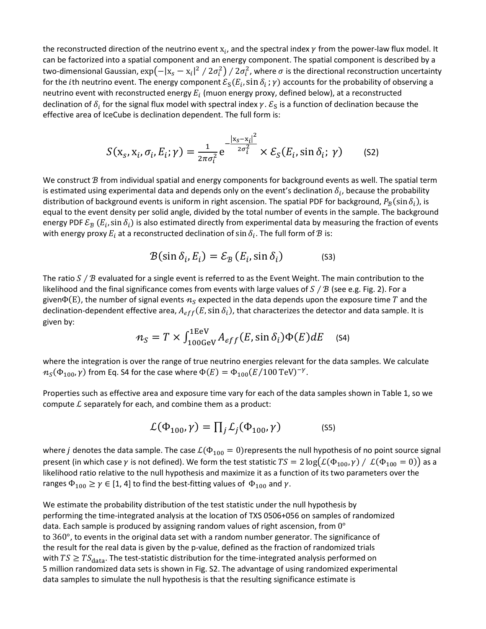the reconstructed direction of the neutrino event  $x_i$ , and the spectral index  $\gamma$  from the power-law flux model. It can be factorized into a spatial component and an energy component. The spatial component is described by a two-dimensional Gaussian,  $\exp(-|x_s-x_i|^2/2\sigma_i^2)/2\sigma_i^2$ , where  $\sigma$  is the directional reconstruction uncertainty for the *i*th neutrino event. The energy component  $\mathcal{E}_S(E_i, \sin \delta_i; \gamma)$  accounts for the probability of observing a neutrino event with reconstructed energy  $E_i$  (muon energy proxy, defined below), at a reconstructed declination of  $\delta_i$  for the signal flux model with spectral index  $\gamma$ .  $\mathcal{E}_S$  is a function of declination because the effective area of IceCube is declination dependent. The full form is:

$$
S(\mathbf{x}_s, \mathbf{x}_i, \sigma_i, E_i; \gamma) = \frac{1}{2\pi\sigma_i^2} e^{-\frac{|\mathbf{x}_s - \mathbf{x}_i|^2}{2\sigma_i^2}} \times \mathcal{E}_S(E_i, \sin \delta_i; \gamma)
$$
(52)

We construct B from individual spatial and energy components for background events as well. The spatial term is estimated using experimental data and depends only on the event's declination  $\delta_i$ , because the probability distribution of background events is uniform in right ascension. The spatial PDF for background,  $P_B(\sin \delta_i)$ , is equal to the event density per solid angle, divided by the total number of events in the sample. The background energy PDF  $\mathcal{E}_B$  ( $E_i$ , sin  $\delta_i$ ) is also estimated directly from experimental data by measuring the fraction of events with energy proxy  $E_i$  at a reconstructed declination of sin  $\delta_i$ . The full form of  $B$  is:

$$
\mathcal{B}(\sin \delta_i, E_i) = \mathcal{E}_{\mathcal{B}}(E_i, \sin \delta_i)
$$
 (S3)

The ratio  $S / B$  evaluated for a single event is referred to as the Event Weight. The main contribution to the likelihood and the final significance comes from events with large values of  $S/B$  (see e.g. Fig. 2). For a given $\Phi(E)$ , the number of signal events  $n<sub>S</sub>$  expected in the data depends upon the exposure time T and the declination-dependent effective area,  $A_{eff}(E, \sin \delta_i)$ , that characterizes the detector and data sample. It is given by:

$$
n_S = T \times \int_{100 \text{GeV}}^{1 \text{EeV}} A_{eff}(E, \sin \delta_i) \Phi(E) dE \quad (S4)
$$

where the integration is over the range of true neutrino energies relevant for the data samples. We calculate  $n_S(\Phi_{100}, \gamma)$  from Eq. S4 for the case where  $\Phi(E) = \Phi_{100}(E/100 \,\text{TeV})^{-\gamma}$ .

Properties such as effective area and exposure time vary for each of the data samples shown in Table 1, so we compute  $\mathcal L$  separately for each, and combine them as a product:

$$
\mathcal{L}(\Phi_{100}, \gamma) = \prod_j \mathcal{L}_j(\Phi_{100}, \gamma) \tag{S5}
$$

where *j* denotes the data sample. The case  $\mathcal{L}(\Phi_{100} = 0)$  represents the null hypothesis of no point source signal present (in which case  $\gamma$  is not defined). We form the test statistic  $TS = 2 \log(L(\Phi_{100}, \gamma) / L(\Phi_{100} = 0))$  as a likelihood ratio relative to the null hypothesis and maximize it as a function of its two parameters over the ranges  $\Phi_{100} \ge \gamma \in [1, 4]$  to find the best-fitting values of  $\Phi_{100}$  and  $\gamma$ .

We estimate the probability distribution of the test statistic under the null hypothesis by performing the time-integrated analysis at the location of TXS 0506+056 on samples of randomized data. Each sample is produced by assigning random values of right ascension, from  $0^{\circ}$ to 360°, to events in the original data set with a random number generator. The significance of the result for the real data is given by the p-value, defined as the fraction of randomized trials with  $TS \geq TS_{data}$ . The test-statistic distribution for the time-integrated analysis performed on 5 million randomized data sets is shown in Fig. S2. The advantage of using randomized experimental data samples to simulate the null hypothesis is that the resulting significance estimate is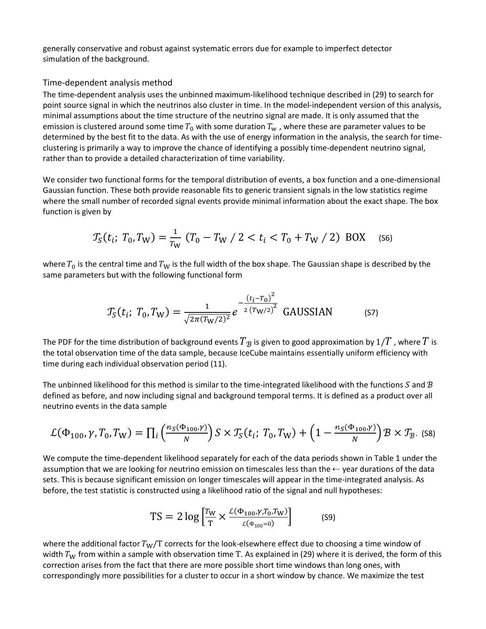generally conservative and robust against systematic errors due for example to imperfect detector simulation of the background.

#### Time-dependent analysis method

The time-dependent analysis uses the unbinned maximum-likelihood technique described in (29) to search for point source signal in which the neutrinos also cluster in time. In the model-independent version of this analysis, minimal assumptions about the time structure of the neutrino signal are made. It is only assumed that the emission is clustered around some time  $T_0$  with some duration  $T_w$ , where these are parameter values to be determined by the best fit to the data. As with the use of energy information in the analysis, the search for timeclustering is primarily a way to improve the chance of identifying a possibly time-dependent neutrino signal, rather than to provide a detailed characterization of time variability.

We consider two functional forms for the temporal distribution of events, a box function and a one-dimensional Gaussian function. These both provide reasonable fits to generic transient signals in the low statistics regime where the small number of recorded signal events provide minimal information about the exact shape. The box function is given by

$$
T_S(t_i; T_0, T_W) = \frac{1}{T_W} (T_0 - T_W / 2 < t_i < T_0 + T_W / 2) \text{ BOX} \quad \text{(56)}
$$

where  $T_0$  is the central time and  $T_W$  is the full width of the box shape. The Gaussian shape is described by the same parameters but with the following functional form

$$
T_S(t_i; T_0, T_W) = \frac{1}{\sqrt{2\pi (T_W/2)^2}} e^{-\frac{(t_i - T_0)^2}{2 (T_W/2)^2}} \text{ GAUSSIAN} \tag{S7}
$$

The PDF for the time distribution of background events  $T_B$  is given to good approximation by  $1/T$  , where  $T$  is the total observation time of the data sample, because IceCube maintains essentially uniform efficiency with time during each individual observation period (11).

The unbinned likelihood for this method is similar to the time-integrated likelihood with the functions  $S$  and  $B$ defined as before, and now including signal and background temporal terms. It is defined as a product over all neutrino events in the data sample

$$
\mathcal{L}(\Phi_{100}, \gamma, T_0, T_W) = \prod_i \left( \frac{n_S(\Phi_{100}, \gamma)}{N} \right) S \times T_S(t_i; T_0, T_W) + \left( 1 - \frac{n_S(\Phi_{100}, \gamma)}{N} \right) \mathcal{B} \times T_B. \tag{S8}
$$

We compute the time-dependent likelihood separately for each of the data periods shown in Table 1 under the assumption that we are looking for neutrino emission on timescales less than the  $\leftarrow$  year durations of the data sets. This is because significant emission on longer timescales will appear in the time-integrated analysis. As before, the test statistic is constructed using a likelihood ratio of the signal and null hypotheses:

$$
TS = 2 \log \left[ \frac{T_W}{T} \times \frac{\mathcal{L}(\Phi_{100}.\gamma, T_0, T_W)}{\mathcal{L}(\Phi_{100}=0)} \right]
$$
(S9)

where the additional factor  $T_W/T$  corrects for the look-elsewhere effect due to choosing a time window of width  $T_W$  from within a sample with observation time T. As explained in (29) where it is derived, the form of this correction arises from the fact that there are more possible short time windows than long ones, with correspondingly more possibilities for a cluster to occur in a short window by chance. We maximize the test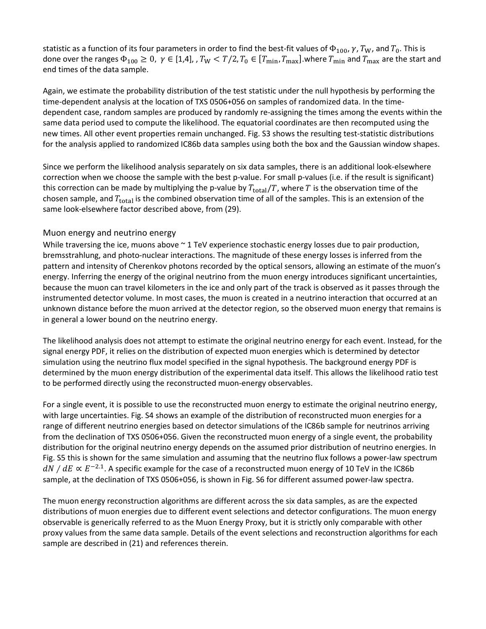statistic as a function of its four parameters in order to find the best-fit values of  $\Phi_{100}$ ,  $\gamma$ ,  $T_W$ , and  $T_0$ . This is done over the ranges  $\Phi_{100} \ge 0$ ,  $\gamma \in [1,4]$ ,  $T_W < T/2$ ,  $T_0 \in [T_{min}, T_{max}]$ . where  $T_{min}$  and  $T_{max}$  are the start and end times of the data sample.

Again, we estimate the probability distribution of the test statistic under the null hypothesis by performing the time-dependent analysis at the location of TXS 0506+056 on samples of randomized data. In the timedependent case, random samples are produced by randomly re-assigning the times among the events within the same data period used to compute the likelihood. The equatorial coordinates are then recomputed using the new times. All other event properties remain unchanged. Fig. S3 shows the resulting test-statistic distributions for the analysis applied to randomized IC86b data samples using both the box and the Gaussian window shapes.

Since we perform the likelihood analysis separately on six data samples, there is an additional look-elsewhere correction when we choose the sample with the best p-value. For small p-values (i.e. if the result is significant) this correction can be made by multiplying the p-value by  $T_{total}/T$ , where T is the observation time of the chosen sample, and  $T_{total}$  is the combined observation time of all of the samples. This is an extension of the same look-elsewhere factor described above, from (29).

#### Muon energy and neutrino energy

While traversing the ice, muons above ~ 1 TeV experience stochastic energy losses due to pair production, bremsstrahlung, and photo-nuclear interactions. The magnitude of these energy losses is inferred from the pattern and intensity of Cherenkov photons recorded by the optical sensors, allowing an estimate of the muon's energy. Inferring the energy of the original neutrino from the muon energy introduces significant uncertainties, because the muon can travel kilometers in the ice and only part of the track is observed as it passes through the instrumented detector volume. In most cases, the muon is created in a neutrino interaction that occurred at an unknown distance before the muon arrived at the detector region, so the observed muon energy that remains is in general a lower bound on the neutrino energy.

The likelihood analysis does not attempt to estimate the original neutrino energy for each event. Instead, for the signal energy PDF, it relies on the distribution of expected muon energies which is determined by detector simulation using the neutrino flux model specified in the signal hypothesis. The background energy PDF is determined by the muon energy distribution of the experimental data itself. This allows the likelihood ratio test to be performed directly using the reconstructed muon-energy observables.

For a single event, it is possible to use the reconstructed muon energy to estimate the original neutrino energy, with large uncertainties. Fig. S4 shows an example of the distribution of reconstructed muon energies for a range of different neutrino energies based on detector simulations of the IC86b sample for neutrinos arriving from the declination of TXS 0506+056. Given the reconstructed muon energy of a single event, the probability distribution for the original neutrino energy depends on the assumed prior distribution of neutrino energies. In Fig. S5 this is shown for the same simulation and assuming that the neutrino flux follows a power-law spectrum  $dN/dE \propto E^{-2.1}$ . A specific example for the case of a reconstructed muon energy of 10 TeV in the IC86b sample, at the declination of TXS 0506+056, is shown in Fig. S6 for different assumed power-law spectra.

The muon energy reconstruction algorithms are different across the six data samples, as are the expected distributions of muon energies due to different event selections and detector configurations. The muon energy observable is generically referred to as the Muon Energy Proxy, but it is strictly only comparable with other proxy values from the same data sample. Details of the event selections and reconstruction algorithms for each sample are described in (21) and references therein.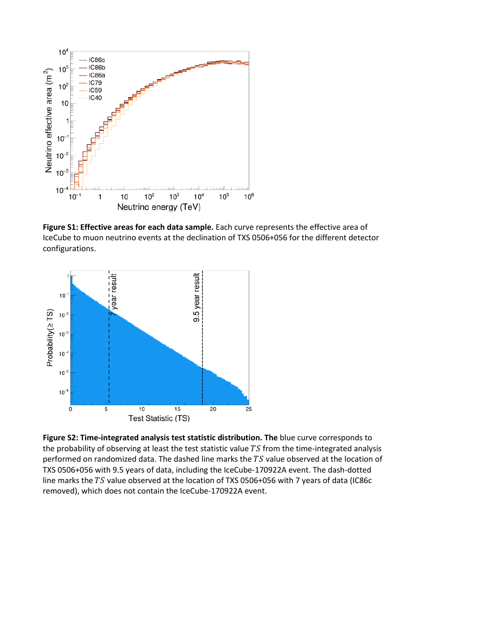

**Figure S1: Effective areas for each data sample.** Each curve represents the effective area of IceCube to muon neutrino events at the declination of TXS 0506+056 for the different detector configurations.



**Figure S2: Time-integrated analysis test statistic distribution. The** blue curve corresponds to the probability of observing at least the test statistic value  $TS$  from the time-integrated analysis performed on randomized data. The dashed line marks the  $TS$  value observed at the location of TXS 0506+056 with 9.5 years of data, including the IceCube-170922A event. The dash-dotted line marks the  $TS$  value observed at the location of TXS 0506+056 with 7 years of data (IC86c removed), which does not contain the IceCube-170922A event.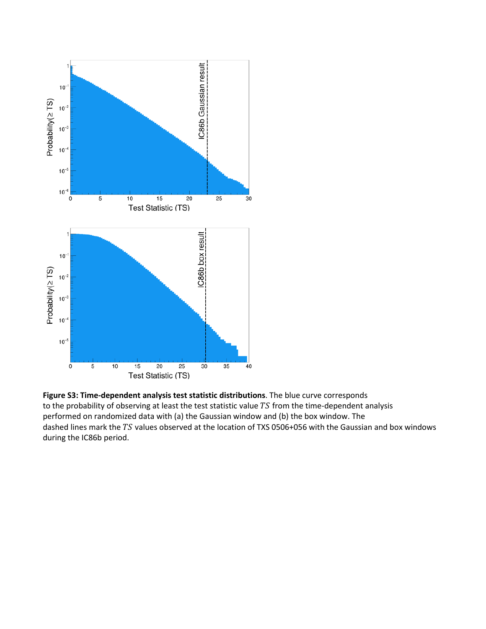

**Figure S3: Time-dependent analysis test statistic distributions**. The blue curve corresponds to the probability of observing at least the test statistic value  $TS$  from the time-dependent analysis performed on randomized data with (a) the Gaussian window and (b) the box window. The dashed lines mark the  $TS$  values observed at the location of TXS 0506+056 with the Gaussian and box windows during the IC86b period.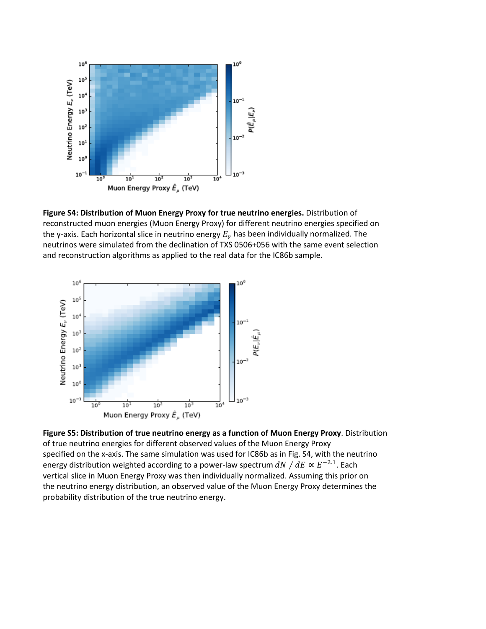

**Figure S4: Distribution of Muon Energy Proxy for true neutrino energies.** Distribution of reconstructed muon energies (Muon Energy Proxy) for different neutrino energies specified on the y-axis. Each horizontal slice in neutrino energy  $E_{\nu}$  has been individually normalized. The neutrinos were simulated from the declination of TXS 0506+056 with the same event selection and reconstruction algorithms as applied to the real data for the IC86b sample.



**Figure S5: Distribution of true neutrino energy as a function of Muon Energy Proxy**. Distribution of true neutrino energies for different observed values of the Muon Energy Proxy specified on the x-axis. The same simulation was used for IC86b as in Fig. S4, with the neutrino energy distribution weighted according to a power-law spectrum  $dN/dE \propto E^{-2.1}$ . Each vertical slice in Muon Energy Proxy was then individually normalized. Assuming this prior on the neutrino energy distribution, an observed value of the Muon Energy Proxy determines the probability distribution of the true neutrino energy.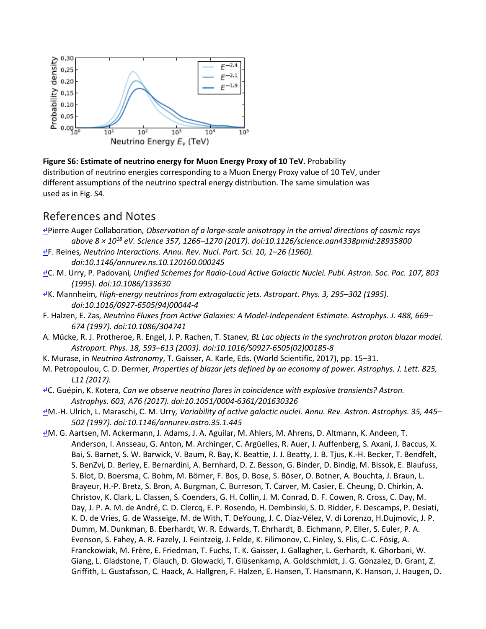

**Figure S6: Estimate of neutrino energy for Muon Energy Proxy of 10 TeV.** Probability distribution of neutrino energies corresponding to a Muon Energy Proxy value of 10 TeV, under different assumptions of the neutrino spectral energy distribution. The same simulation was used as in Fig. S4.

### References and Notes

- [↵](https://science.sciencemag.org/content/361/6398/147#xref-ref-1-1)Pierre Auger Collaboration*, Observation of a large-scale anisotropy in the arrival directions of cosmic rays above 8 × 1018 eV. Science 357, 1266–1270 (2017). doi:10.1126/science.aan4338pmid:28935800*
- [↵](https://science.sciencemag.org/content/361/6398/147#xref-ref-2-1)F. Reines*, Neutrino Interactions. Annu. Rev. Nucl. Part. Sci. 10, 1–26 (1960). doi:10.1146/annurev.ns.10.120160.000245*
- [↵](https://science.sciencemag.org/content/361/6398/147#xref-ref-3-1)C. M. Urry, P. Padovani*, Unified Schemes for Radio-Loud Active Galactic Nuclei. Publ. Astron. Soc. Pac. 107, 803 (1995). doi:10.1086/133630*
- [↵](https://science.sciencemag.org/content/361/6398/147#xref-ref-4-1)K. Mannheim*, High-energy neutrinos from extragalactic jets. Astropart. Phys. 3, 295–302 (1995). doi:10.1016/0927-6505(94)00044-4*
- F. Halzen, E. Zas*, Neutrino Fluxes from Active Galaxies: A Model-Independent Estimate. Astrophys. J. 488, 669– 674 (1997). doi:10.1086/304741*
- A. Mücke, R. J. Protheroe, R. Engel, J. P. Rachen, T. Stanev*, BL Lac objects in the synchrotron proton blazar model. Astropart. Phys. 18, 593–613 (2003). doi:10.1016/S0927-6505(02)00185-8*
- K. Murase, in *Neutrino Astronomy*, T. Gaisser, A. Karle, Eds. (World Scientific, 2017), pp. 15–31.
- M. Petropoulou, C. D. Dermer*, Properties of blazar jets defined by an economy of power. Astrophys. J. Lett. 825, L11 (2017).*
- [↵](https://science.sciencemag.org/content/361/6398/147#xref-ref-9-1)C. Guépin, K. Kotera*, Can we observe neutrino flares in coincidence with explosive transients? Astron. Astrophys. 603, A76 (2017). doi:10.1051/0004-6361/201630326*
- [↵](https://science.sciencemag.org/content/361/6398/147#xref-ref-10-1)M.-H. Ulrich, L. Maraschi, C. M. Urry*, Variability of active galactic nuclei. Annu. Rev. Astron. Astrophys. 35, 445– 502 (1997). doi:10.1146/annurev.astro.35.1.445*
- [↵](https://science.sciencemag.org/content/361/6398/147#xref-ref-11-1)M. G. Aartsen, M. Ackermann, J. Adams, J. A. Aguilar, M. Ahlers, M. Ahrens, D. Altmann, K. Andeen, T. Anderson, I. Ansseau, G. Anton, M. Archinger, C. Argüelles, R. Auer, J. Auffenberg, S. Axani, J. Baccus, X. Bai, S. Barnet, S. W. Barwick, V. Baum, R. Bay, K. Beattie, J. J. Beatty, J. B. Tjus, K.-H. Becker, T. Bendfelt, S. BenZvi, D. Berley, E. Bernardini, A. Bernhard, D. Z. Besson, G. Binder, D. Bindig, M. Bissok, E. Blaufuss, S. Blot, D. Boersma, C. Bohm, M. Börner, F. Bos, D. Bose, S. Böser, O. Botner, A. Bouchta, J. Braun, L. Brayeur, H.-P. Bretz, S. Bron, A. Burgman, C. Burreson, T. Carver, M. Casier, E. Cheung, D. Chirkin, A. Christov, K. Clark, L. Classen, S. Coenders, G. H. Collin, J. M. Conrad, D. F. Cowen, R. Cross, C. Day, M. Day, J. P. A. M. de André, C. D. Clercq, E. P. Rosendo, H. Dembinski, S. D. Ridder, F. Descamps, P. Desiati, K. D. de Vries, G. de Wasseige, M. de With, T. DeYoung, J. C. Díaz-Vélez, V. di Lorenzo, H.Dujmovic, J. P. Dumm, M. Dunkman, B. Eberhardt, W. R. Edwards, T. Ehrhardt, B. Eichmann, P. Eller, S. Euler, P. A. Evenson, S. Fahey, A. R. Fazely, J. Feintzeig, J. Felde, K. Filimonov, C. Finley, S. Flis, C.-C. Fösig, A. Franckowiak, M. Frère, E. Friedman, T. Fuchs, T. K. Gaisser, J. Gallagher, L. Gerhardt, K. Ghorbani, W. Giang, L. Gladstone, T. Glauch, D. Glowacki, T. Glüsenkamp, A. Goldschmidt, J. G. Gonzalez, D. Grant, Z. Griffith, L. Gustafsson, C. Haack, A. Hallgren, F. Halzen, E. Hansen, T. Hansmann, K. Hanson, J. Haugen, D.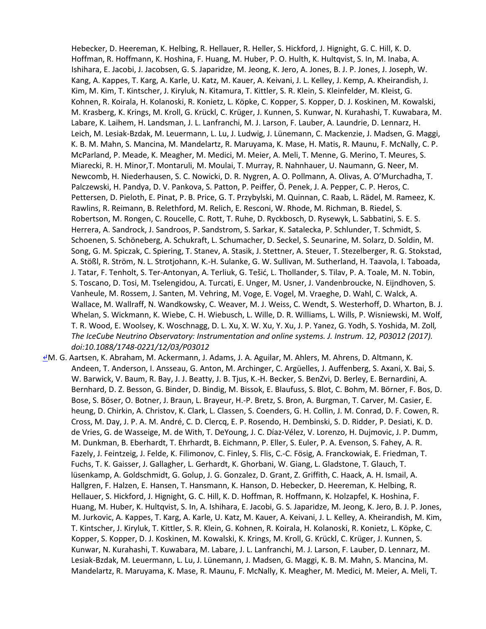Hebecker, D. Heereman, K. Helbing, R. Hellauer, R. Heller, S. Hickford, J. Hignight, G. C. Hill, K. D. Hoffman, R. Hoffmann, K. Hoshina, F. Huang, M. Huber, P. O. Hulth, K. Hultqvist, S. In, M. Inaba, A. Ishihara, E. Jacobi, J. Jacobsen, G. S. Japaridze, M. Jeong, K. Jero, A. Jones, B. J. P. Jones, J. Joseph, W. Kang, A. Kappes, T. Karg, A. Karle, U. Katz, M. Kauer, A. Keivani, J. L. Kelley, J. Kemp, A. Kheirandish, J. Kim, M. Kim, T. Kintscher, J. Kiryluk, N. Kitamura, T. Kittler, S. R. Klein, S. Kleinfelder, M. Kleist, G. Kohnen, R. Koirala, H. Kolanoski, R. Konietz, L. Köpke, C. Kopper, S. Kopper, D. J. Koskinen, M. Kowalski, M. Krasberg, K. Krings, M. Kroll, G. Krückl, C. Krüger, J. Kunnen, S. Kunwar, N. Kurahashi, T. Kuwabara, M. Labare, K. Laihem, H. Landsman, J. L. Lanfranchi, M. J. Larson, F. Lauber, A. Laundrie, D. Lennarz, H. Leich, M. Lesiak-Bzdak, M. Leuermann, L. Lu, J. Ludwig, J. Lünemann, C. Mackenzie, J. Madsen, G. Maggi, K. B. M. Mahn, S. Mancina, M. Mandelartz, R. Maruyama, K. Mase, H. Matis, R. Maunu, F. McNally, C. P. McParland, P. Meade, K. Meagher, M. Medici, M. Meier, A. Meli, T. Menne, G. Merino, T. Meures, S. Miarecki, R. H. Minor,T. Montaruli, M. Moulai, T. Murray, R. Nahnhauer, U. Naumann, G. Neer, M. Newcomb, H. Niederhausen, S. C. Nowicki, D. R. Nygren, A. O. Pollmann, A. Olivas, A. O'Murchadha, T. Palczewski, H. Pandya, D. V. Pankova, S. Patton, P. Peiffer, Ö. Penek, J. A. Pepper, C. P. Heros, C. Pettersen, D. Pieloth, E. Pinat, P. B. Price, G. T. Przybylski, M. Quinnan, C. Raab, L. Rädel, M. Rameez, K. Rawlins, R. Reimann, B. Relethford, M. Relich, E. Resconi, W. Rhode, M. Richman, B. Riedel, S. Robertson, M. Rongen, C. Roucelle, C. Rott, T. Ruhe, D. Ryckbosch, D. Rysewyk, L. Sabbatini, S. E. S. Herrera, A. Sandrock, J. Sandroos, P. Sandstrom, S. Sarkar, K. Satalecka, P. Schlunder, T. Schmidt, S. Schoenen, S. Schöneberg, A. Schukraft, L. Schumacher, D. Seckel, S. Seunarine, M. Solarz, D. Soldin, M. Song, G. M. Spiczak, C. Spiering, T. Stanev, A. Stasik, J. Stettner, A. Steuer, T. Stezelberger, R. G. Stokstad, A. Stößl, R. Ström, N. L. Strotjohann, K.-H. Sulanke, G. W. Sullivan, M. Sutherland, H. Taavola, I. Taboada, J. Tatar, F. Tenholt, S. Ter-Antonyan, A. Terliuk, G. Tešić, L. Thollander, S. Tilav, P. A. Toale, M. N. Tobin, S. Toscano, D. Tosi, M. Tselengidou, A. Turcati, E. Unger, M. Usner, J. Vandenbroucke, N. Eijndhoven, S. Vanheule, M. Rossem, J. Santen, M. Vehring, M. Voge, E. Vogel, M. Vraeghe, D. Wahl, C. Walck, A. Wallace, M. Wallraff, N. Wandkowsky, C. Weaver, M. J. Weiss, C. Wendt, S. Westerhoff, D. Wharton, B. J. Whelan, S. Wickmann, K. Wiebe, C. H. Wiebusch, L. Wille, D. R. Williams, L. Wills, P. Wisniewski, M. Wolf, T. R. Wood, E. Woolsey, K. Woschnagg, D. L. Xu, X. W. Xu, Y. Xu, J. P. Yanez, G. Yodh, S. Yoshida, M. Zoll*, The IceCube Neutrino Observatory: Instrumentation and online systems. J. Instrum. 12, P03012 (2017). doi:10.1088/1748-0221/12/03/P03012*

[↵](https://science.sciencemag.org/content/361/6398/147#xref-ref-12-1)M. G. Aartsen, K. Abraham, M. Ackermann, J. Adams, J. A. Aguilar, M. Ahlers, M. Ahrens, D. Altmann, K. Andeen, T. Anderson, I. Ansseau, G. Anton, M. Archinger, C. Argüelles, J. Auffenberg, S. Axani, X. Bai, S. W. Barwick, V. Baum, R. Bay, J. J. Beatty, J. B. Tjus, K.-H. Becker, S. BenZvi, D. Berley, E. Bernardini, A. Bernhard, D. Z. Besson, G. Binder, D. Bindig, M. Bissok, E. Blaufuss, S. Blot, C. Bohm, M. Börner, F. Bos, D. Bose, S. Böser, O. Botner, J. Braun, L. Brayeur, H.-P. Bretz, S. Bron, A. Burgman, T. Carver, M. Casier, E. heung, D. Chirkin, A. Christov, K. Clark, L. Classen, S. Coenders, G. H. Collin, J. M. Conrad, D. F. Cowen, R. Cross, M. Day, J. P. A. M. André, C. D. Clercq, E. P. Rosendo, H. Dembinski, S. D. Ridder, P. Desiati, K. D. de Vries, G. de Wasseige, M. de With, T. DeYoung, J. C. Díaz-Vélez, V. Lorenzo, H. Dujmovic, J. P. Dumm, M. Dunkman, B. Eberhardt, T. Ehrhardt, B. Eichmann, P. Eller, S. Euler, P. A. Evenson, S. Fahey, A. R. Fazely, J. Feintzeig, J. Felde, K. Filimonov, C. Finley, S. Flis, C.-C. Fösig, A. Franckowiak, E. Friedman, T. Fuchs, T. K. Gaisser, J. Gallagher, L. Gerhardt, K. Ghorbani, W. Giang, L. Gladstone, T. Glauch, T. lüsenkamp, A. Goldschmidt, G. Golup, J. G. Gonzalez, D. Grant, Z. Griffith, C. Haack, A. H. Ismail, A. Hallgren, F. Halzen, E. Hansen, T. Hansmann, K. Hanson, D. Hebecker, D. Heereman, K. Helbing, R. Hellauer, S. Hickford, J. Hignight, G. C. Hill, K. D. Hoffman, R. Hoffmann, K. Holzapfel, K. Hoshina, F. Huang, M. Huber, K. Hultqvist, S. In, A. Ishihara, E. Jacobi, G. S. Japaridze, M. Jeong, K. Jero, B. J. P. Jones, M. Jurkovic, A. Kappes, T. Karg, A. Karle, U. Katz, M. Kauer, A. Keivani, J. L. Kelley, A. Kheirandish, M. Kim, T. Kintscher, J. Kiryluk, T. Kittler, S. R. Klein, G. Kohnen, R. Koirala, H. Kolanoski, R. Konietz, L. Köpke, C. Kopper, S. Kopper, D. J. Koskinen, M. Kowalski, K. Krings, M. Kroll, G. Krückl, C. Krüger, J. Kunnen, S. Kunwar, N. Kurahashi, T. Kuwabara, M. Labare, J. L. Lanfranchi, M. J. Larson, F. Lauber, D. Lennarz, M. Lesiak-Bzdak, M. Leuermann, L. Lu, J. Lünemann, J. Madsen, G. Maggi, K. B. M. Mahn, S. Mancina, M. Mandelartz, R. Maruyama, K. Mase, R. Maunu, F. McNally, K. Meagher, M. Medici, M. Meier, A. Meli, T.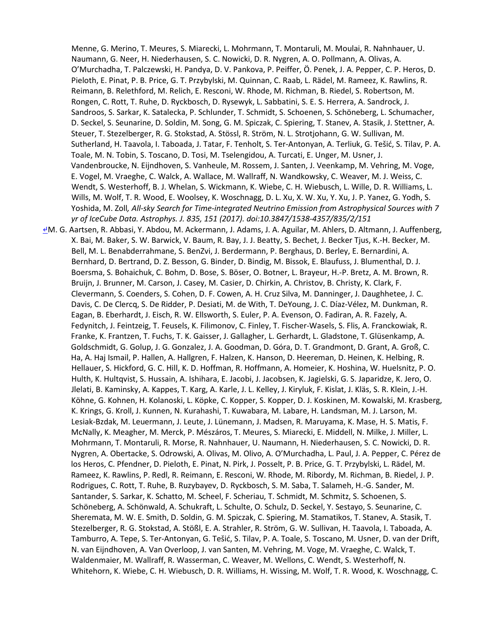Menne, G. Merino, T. Meures, S. Miarecki, L. Mohrmann, T. Montaruli, M. Moulai, R. Nahnhauer, U. Naumann, G. Neer, H. Niederhausen, S. C. Nowicki, D. R. Nygren, A. O. Pollmann, A. Olivas, A. O'Murchadha, T. Palczewski, H. Pandya, D. V. Pankova, P. Peiffer, Ö. Penek, J. A. Pepper, C. P. Heros, D. Pieloth, E. Pinat, P. B. Price, G. T. Przybylski, M. Quinnan, C. Raab, L. Rädel, M. Rameez, K. Rawlins, R. Reimann, B. Relethford, M. Relich, E. Resconi, W. Rhode, M. Richman, B. Riedel, S. Robertson, M. Rongen, C. Rott, T. Ruhe, D. Ryckbosch, D. Rysewyk, L. Sabbatini, S. E. S. Herrera, A. Sandrock, J. Sandroos, S. Sarkar, K. Satalecka, P. Schlunder, T. Schmidt, S. Schoenen, S. Schöneberg, L. Schumacher, D. Seckel, S. Seunarine, D. Soldin, M. Song, G. M. Spiczak, C. Spiering, T. Stanev, A. Stasik, J. Stettner, A. Steuer, T. Stezelberger, R. G. Stokstad, A. Stössl, R. Ström, N. L. Strotjohann, G. W. Sullivan, M. Sutherland, H. Taavola, I. Taboada, J. Tatar, F. Tenholt, S. Ter-Antonyan, A. Terliuk, G. Tešić, S. Tilav, P. A. Toale, M. N. Tobin, S. Toscano, D. Tosi, M. Tselengidou, A. Turcati, E. Unger, M. Usner, J. Vandenbroucke, N. Eijndhoven, S. Vanheule, M. Rossem, J. Santen, J. Veenkamp, M. Vehring, M. Voge, E. Vogel, M. Vraeghe, C. Walck, A. Wallace, M. Wallraff, N. Wandkowsky, C. Weaver, M. J. Weiss, C. Wendt, S. Westerhoff, B. J. Whelan, S. Wickmann, K. Wiebe, C. H. Wiebusch, L. Wille, D. R. Williams, L. Wills, M. Wolf, T. R. Wood, E. Woolsey, K. Woschnagg, D. L. Xu, X. W. Xu, Y. Xu, J. P. Yanez, G. Yodh, S. Yoshida, M. Zoll*, All-sky Search for Time-integrated Neutrino Emission from Astrophysical Sources with 7 yr of IceCube Data. Astrophys. J. 835, 151 (2017). doi:10.3847/1538-4357/835/2/151*

[↵](https://science.sciencemag.org/content/361/6398/147#xref-ref-13-1)M. G. Aartsen, R. Abbasi, Y. Abdou, M. Ackermann, J. Adams, J. A. Aguilar, M. Ahlers, D. Altmann, J. Auffenberg, X. Bai, M. Baker, S. W. Barwick, V. Baum, R. Bay, J. J. Beatty, S. Bechet, J. Becker Tjus, K.-H. Becker, M. Bell, M. L. Benabderrahmane, S. BenZvi, J. Berdermann, P. Berghaus, D. Berley, E. Bernardini, A. Bernhard, D. Bertrand, D. Z. Besson, G. Binder, D. Bindig, M. Bissok, E. Blaufuss, J. Blumenthal, D. J. Boersma, S. Bohaichuk, C. Bohm, D. Bose, S. Böser, O. Botner, L. Brayeur, H.-P. Bretz, A. M. Brown, R. Bruijn, J. Brunner, M. Carson, J. Casey, M. Casier, D. Chirkin, A. Christov, B. Christy, K. Clark, F. Clevermann, S. Coenders, S. Cohen, D. F. Cowen, A. H. Cruz Silva, M. Danninger, J. Daughhetee, J. C. Davis, C. De Clercq, S. De Ridder, P. Desiati, M. de With, T. DeYoung, J. C. Díaz-Vélez, M. Dunkman, R. Eagan, B. Eberhardt, J. Eisch, R. W. Ellsworth, S. Euler, P. A. Evenson, O. Fadiran, A. R. Fazely, A. Fedynitch, J. Feintzeig, T. Feusels, K. Filimonov, C. Finley, T. Fischer-Wasels, S. Flis, A. Franckowiak, R. Franke, K. Frantzen, T. Fuchs, T. K. Gaisser, J. Gallagher, L. Gerhardt, L. Gladstone, T. Glüsenkamp, A. Goldschmidt, G. Golup, J. G. Gonzalez, J. A. Goodman, D. Góra, D. T. Grandmont, D. Grant, A. Groß, C. Ha, A. Haj Ismail, P. Hallen, A. Hallgren, F. Halzen, K. Hanson, D. Heereman, D. Heinen, K. Helbing, R. Hellauer, S. Hickford, G. C. Hill, K. D. Hoffman, R. Hoffmann, A. Homeier, K. Hoshina, W. Huelsnitz, P. O. Hulth, K. Hultqvist, S. Hussain, A. Ishihara, E. Jacobi, J. Jacobsen, K. Jagielski, G. S. Japaridze, K. Jero, O. Jlelati, B. Kaminsky, A. Kappes, T. Karg, A. Karle, J. L. Kelley, J. Kiryluk, F. Kislat, J. Kläs, S. R. Klein, J.-H. Köhne, G. Kohnen, H. Kolanoski, L. Köpke, C. Kopper, S. Kopper, D. J. Koskinen, M. Kowalski, M. Krasberg, K. Krings, G. Kroll, J. Kunnen, N. Kurahashi, T. Kuwabara, M. Labare, H. Landsman, M. J. Larson, M. Lesiak-Bzdak, M. Leuermann, J. Leute, J. Lünemann, J. Madsen, R. Maruyama, K. Mase, H. S. Matis, F. McNally, K. Meagher, M. Merck, P. Mészáros, T. Meures, S. Miarecki, E. Middell, N. Milke, J. Miller, L. Mohrmann, T. Montaruli, R. Morse, R. Nahnhauer, U. Naumann, H. Niederhausen, S. C. Nowicki, D. R. Nygren, A. Obertacke, S. Odrowski, A. Olivas, M. Olivo, A. O'Murchadha, L. Paul, J. A. Pepper, C. Pérez de los Heros, C. Pfendner, D. Pieloth, E. Pinat, N. Pirk, J. Posselt, P. B. Price, G. T. Przybylski, L. Rädel, M. Rameez, K. Rawlins, P. Redl, R. Reimann, E. Resconi, W. Rhode, M. Ribordy, M. Richman, B. Riedel, J. P. Rodrigues, C. Rott, T. Ruhe, B. Ruzybayev, D. Ryckbosch, S. M. Saba, T. Salameh, H.-G. Sander, M. Santander, S. Sarkar, K. Schatto, M. Scheel, F. Scheriau, T. Schmidt, M. Schmitz, S. Schoenen, S. Schöneberg, A. Schönwald, A. Schukraft, L. Schulte, O. Schulz, D. Seckel, Y. Sestayo, S. Seunarine, C. Sheremata, M. W. E. Smith, D. Soldin, G. M. Spiczak, C. Spiering, M. Stamatikos, T. Stanev, A. Stasik, T. Stezelberger, R. G. Stokstad, A. Stößl, E. A. Strahler, R. Ström, G. W. Sullivan, H. Taavola, I. Taboada, A. Tamburro, A. Tepe, S. Ter-Antonyan, G. Tešić, S. Tilav, P. A. Toale, S. Toscano, M. Usner, D. van der Drift, N. van Eijndhoven, A. Van Overloop, J. van Santen, M. Vehring, M. Voge, M. Vraeghe, C. Walck, T. Waldenmaier, M. Wallraff, R. Wasserman, C. Weaver, M. Wellons, C. Wendt, S. Westerhoff, N. Whitehorn, K. Wiebe, C. H. Wiebusch, D. R. Williams, H. Wissing, M. Wolf, T. R. Wood, K. Woschnagg, C.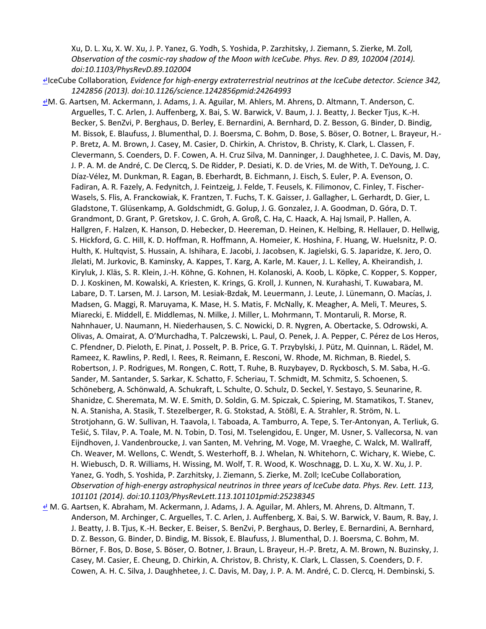Xu, D. L. Xu, X. W. Xu, J. P. Yanez, G. Yodh, S. Yoshida, P. Zarzhitsky, J. Ziemann, S. Zierke, M. Zoll*, Observation of the cosmic-ray shadow of the Moon with IceCube. Phys. Rev. D 89, 102004 (2014). doi:10.1103/PhysRevD.89.102004*

- [↵](https://science.sciencemag.org/content/361/6398/147#xref-ref-14-1)IceCube Collaboration*, Evidence for high-energy extraterrestrial neutrinos at the IceCube detector. Science 342, 1242856 (2013). doi:10.1126/science.1242856pmid:24264993*
- [↵](https://science.sciencemag.org/content/361/6398/147#xref-ref-15-1)M. G. Aartsen, M. Ackermann, J. Adams, J. A. Aguilar, M. Ahlers, M. Ahrens, D. Altmann, T. Anderson, C. Arguelles, T. C. Arlen, J. Auffenberg, X. Bai, S. W. Barwick, V. Baum, J. J. Beatty, J. Becker Tjus, K.-H. Becker, S. BenZvi, P. Berghaus, D. Berley, E. Bernardini, A. Bernhard, D. Z. Besson, G. Binder, D. Bindig, M. Bissok, E. Blaufuss, J. Blumenthal, D. J. Boersma, C. Bohm, D. Bose, S. Böser, O. Botner, L. Brayeur, H.- P. Bretz, A. M. Brown, J. Casey, M. Casier, D. Chirkin, A. Christov, B. Christy, K. Clark, L. Classen, F. Clevermann, S. Coenders, D. F. Cowen, A. H. Cruz Silva, M. Danninger, J. Daughhetee, J. C. Davis, M. Day, J. P. A. M. de André, C. De Clercq, S. De Ridder, P. Desiati, K. D. de Vries, M. de With, T. DeYoung, J. C. Díaz-Vélez, M. Dunkman, R. Eagan, B. Eberhardt, B. Eichmann, J. Eisch, S. Euler, P. A. Evenson, O. Fadiran, A. R. Fazely, A. Fedynitch, J. Feintzeig, J. Felde, T. Feusels, K. Filimonov, C. Finley, T. Fischer-Wasels, S. Flis, A. Franckowiak, K. Frantzen, T. Fuchs, T. K. Gaisser, J. Gallagher, L. Gerhardt, D. Gier, L. Gladstone, T. Glüsenkamp, A. Goldschmidt, G. Golup, J. G. Gonzalez, J. A. Goodman, D. Góra, D. T. Grandmont, D. Grant, P. Gretskov, J. C. Groh, A. Groß, C. Ha, C. Haack, A. Haj Ismail, P. Hallen, A. Hallgren, F. Halzen, K. Hanson, D. Hebecker, D. Heereman, D. Heinen, K. Helbing, R. Hellauer, D. Hellwig, S. Hickford, G. C. Hill, K. D. Hoffman, R. Hoffmann, A. Homeier, K. Hoshina, F. Huang, W. Huelsnitz, P. O. Hulth, K. Hultqvist, S. Hussain, A. Ishihara, E. Jacobi, J. Jacobsen, K. Jagielski, G. S. Japaridze, K. Jero, O. Jlelati, M. Jurkovic, B. Kaminsky, A. Kappes, T. Karg, A. Karle, M. Kauer, J. L. Kelley, A. Kheirandish, J. Kiryluk, J. Kläs, S. R. Klein, J.-H. Köhne, G. Kohnen, H. Kolanoski, A. Koob, L. Köpke, C. Kopper, S. Kopper, D. J. Koskinen, M. Kowalski, A. Kriesten, K. Krings, G. Kroll, J. Kunnen, N. Kurahashi, T. Kuwabara, M. Labare, D. T. Larsen, M. J. Larson, M. Lesiak-Bzdak, M. Leuermann, J. Leute, J. Lünemann, O. Macías, J. Madsen, G. Maggi, R. Maruyama, K. Mase, H. S. Matis, F. McNally, K. Meagher, A. Meli, T. Meures, S. Miarecki, E. Middell, E. Middlemas, N. Milke, J. Miller, L. Mohrmann, T. Montaruli, R. Morse, R. Nahnhauer, U. Naumann, H. Niederhausen, S. C. Nowicki, D. R. Nygren, A. Obertacke, S. Odrowski, A. Olivas, A. Omairat, A. O'Murchadha, T. Palczewski, L. Paul, O. Penek, J. A. Pepper, C. Pérez de Los Heros, C. Pfendner, D. Pieloth, E. Pinat, J. Posselt, P. B. Price, G. T. Przybylski, J. Pütz, M. Quinnan, L. Rädel, M. Rameez, K. Rawlins, P. Redl, I. Rees, R. Reimann, E. Resconi, W. Rhode, M. Richman, B. Riedel, S. Robertson, J. P. Rodrigues, M. Rongen, C. Rott, T. Ruhe, B. Ruzybayev, D. Ryckbosch, S. M. Saba, H.-G. Sander, M. Santander, S. Sarkar, K. Schatto, F. Scheriau, T. Schmidt, M. Schmitz, S. Schoenen, S. Schöneberg, A. Schönwald, A. Schukraft, L. Schulte, O. Schulz, D. Seckel, Y. Sestayo, S. Seunarine, R. Shanidze, C. Sheremata, M. W. E. Smith, D. Soldin, G. M. Spiczak, C. Spiering, M. Stamatikos, T. Stanev, N. A. Stanisha, A. Stasik, T. Stezelberger, R. G. Stokstad, A. Stößl, E. A. Strahler, R. Ström, N. L. Strotjohann, G. W. Sullivan, H. Taavola, I. Taboada, A. Tamburro, A. Tepe, S. Ter-Antonyan, A. Terliuk, G. Tešić, S. Tilav, P. A. Toale, M. N. Tobin, D. Tosi, M. Tselengidou, E. Unger, M. Usner, S. Vallecorsa, N. van Eijndhoven, J. Vandenbroucke, J. van Santen, M. Vehring, M. Voge, M. Vraeghe, C. Walck, M. Wallraff, Ch. Weaver, M. Wellons, C. Wendt, S. Westerhoff, B. J. Whelan, N. Whitehorn, C. Wichary, K. Wiebe, C. H. Wiebusch, D. R. Williams, H. Wissing, M. Wolf, T. R. Wood, K. Woschnagg, D. L. Xu, X. W. Xu, J. P. Yanez, G. Yodh, S. Yoshida, P. Zarzhitsky, J. Ziemann, S. Zierke, M. Zoll; IceCube Collaboration*, Observation of high-energy astrophysical neutrinos in three years of IceCube data. Phys. Rev. Lett. 113, 101101 (2014). doi:10.1103/PhysRevLett.113.101101pmid:25238345*
- [↵](https://science.sciencemag.org/content/361/6398/147#xref-ref-16-1) M. G. Aartsen, K. Abraham, M. Ackermann, J. Adams, J. A. Aguilar, M. Ahlers, M. Ahrens, D. Altmann, T. Anderson, M. Archinger, C. Arguelles, T. C. Arlen, J. Auffenberg, X. Bai, S. W. Barwick, V. Baum, R. Bay, J. J. Beatty, J. B. Tjus, K.-H. Becker, E. Beiser, S. BenZvi, P. Berghaus, D. Berley, E. Bernardini, A. Bernhard, D. Z. Besson, G. Binder, D. Bindig, M. Bissok, E. Blaufuss, J. Blumenthal, D. J. Boersma, C. Bohm, M. Börner, F. Bos, D. Bose, S. Böser, O. Botner, J. Braun, L. Brayeur, H.-P. Bretz, A. M. Brown, N. Buzinsky, J. Casey, M. Casier, E. Cheung, D. Chirkin, A. Christov, B. Christy, K. Clark, L. Classen, S. Coenders, D. F. Cowen, A. H. C. Silva, J. Daughhetee, J. C. Davis, M. Day, J. P. A. M. André, C. D. Clercq, H. Dembinski, S.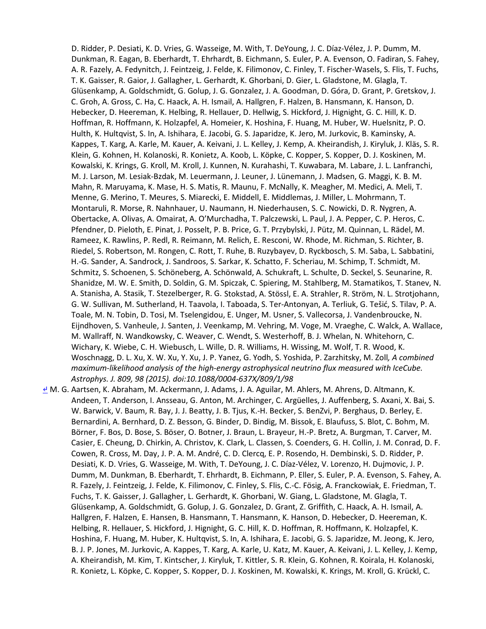D. Ridder, P. Desiati, K. D. Vries, G. Wasseige, M. With, T. DeYoung, J. C. Díaz-Vélez, J. P. Dumm, M. Dunkman, R. Eagan, B. Eberhardt, T. Ehrhardt, B. Eichmann, S. Euler, P. A. Evenson, O. Fadiran, S. Fahey, A. R. Fazely, A. Fedynitch, J. Feintzeig, J. Felde, K. Filimonov, C. Finley, T. Fischer-Wasels, S. Flis, T. Fuchs, T. K. Gaisser, R. Gaior, J. Gallagher, L. Gerhardt, K. Ghorbani, D. Gier, L. Gladstone, M. Glagla, T. Glüsenkamp, A. Goldschmidt, G. Golup, J. G. Gonzalez, J. A. Goodman, D. Góra, D. Grant, P. Gretskov, J. C. Groh, A. Gross, C. Ha, C. Haack, A. H. Ismail, A. Hallgren, F. Halzen, B. Hansmann, K. Hanson, D. Hebecker, D. Heereman, K. Helbing, R. Hellauer, D. Hellwig, S. Hickford, J. Hignight, G. C. Hill, K. D. Hoffman, R. Hoffmann, K. Holzapfel, A. Homeier, K. Hoshina, F. Huang, M. Huber, W. Huelsnitz, P. O. Hulth, K. Hultqvist, S. In, A. Ishihara, E. Jacobi, G. S. Japaridze, K. Jero, M. Jurkovic, B. Kaminsky, A. Kappes, T. Karg, A. Karle, M. Kauer, A. Keivani, J. L. Kelley, J. Kemp, A. Kheirandish, J. Kiryluk, J. Kläs, S. R. Klein, G. Kohnen, H. Kolanoski, R. Konietz, A. Koob, L. Köpke, C. Kopper, S. Kopper, D. J. Koskinen, M. Kowalski, K. Krings, G. Kroll, M. Kroll, J. Kunnen, N. Kurahashi, T. Kuwabara, M. Labare, J. L. Lanfranchi, M. J. Larson, M. Lesiak-Bzdak, M. Leuermann, J. Leuner, J. Lünemann, J. Madsen, G. Maggi, K. B. M. Mahn, R. Maruyama, K. Mase, H. S. Matis, R. Maunu, F. McNally, K. Meagher, M. Medici, A. Meli, T. Menne, G. Merino, T. Meures, S. Miarecki, E. Middell, E. Middlemas, J. Miller, L. Mohrmann, T. Montaruli, R. Morse, R. Nahnhauer, U. Naumann, H. Niederhausen, S. C. Nowicki, D. R. Nygren, A. Obertacke, A. Olivas, A. Omairat, A. O'Murchadha, T. Palczewski, L. Paul, J. A. Pepper, C. P. Heros, C. Pfendner, D. Pieloth, E. Pinat, J. Posselt, P. B. Price, G. T. Przybylski, J. Pütz, M. Quinnan, L. Rädel, M. Rameez, K. Rawlins, P. Redl, R. Reimann, M. Relich, E. Resconi, W. Rhode, M. Richman, S. Richter, B. Riedel, S. Robertson, M. Rongen, C. Rott, T. Ruhe, B. Ruzybayev, D. Ryckbosch, S. M. Saba, L. Sabbatini, H.-G. Sander, A. Sandrock, J. Sandroos, S. Sarkar, K. Schatto, F. Scheriau, M. Schimp, T. Schmidt, M. Schmitz, S. Schoenen, S. Schöneberg, A. Schönwald, A. Schukraft, L. Schulte, D. Seckel, S. Seunarine, R. Shanidze, M. W. E. Smith, D. Soldin, G. M. Spiczak, C. Spiering, M. Stahlberg, M. Stamatikos, T. Stanev, N. A. Stanisha, A. Stasik, T. Stezelberger, R. G. Stokstad, A. Stössl, E. A. Strahler, R. Ström, N. L. Strotjohann, G. W. Sullivan, M. Sutherland, H. Taavola, I. Taboada, S. Ter-Antonyan, A. Terliuk, G. Tešić, S. Tilav, P. A. Toale, M. N. Tobin, D. Tosi, M. Tselengidou, E. Unger, M. Usner, S. Vallecorsa, J. Vandenbroucke, N. Eijndhoven, S. Vanheule, J. Santen, J. Veenkamp, M. Vehring, M. Voge, M. Vraeghe, C. Walck, A. Wallace, M. Wallraff, N. Wandkowsky, C. Weaver, C. Wendt, S. Westerhoff, B. J. Whelan, N. Whitehorn, C. Wichary, K. Wiebe, C. H. Wiebusch, L. Wille, D. R. Williams, H. Wissing, M. Wolf, T. R. Wood, K. Woschnagg, D. L. Xu, X. W. Xu, Y. Xu, J. P. Yanez, G. Yodh, S. Yoshida, P. Zarzhitsky, M. Zoll*, A combined maximum-likelihood analysis of the high-energy astrophysical neutrino flux measured with IceCube. Astrophys. J. 809, 98 (2015). doi:10.1088/0004-637X/809/1/98*

[↵](https://science.sciencemag.org/content/361/6398/147#xref-ref-17-1) M. G. Aartsen, K. Abraham, M. Ackermann, J. Adams, J. A. Aguilar, M. Ahlers, M. Ahrens, D. Altmann, K. Andeen, T. Anderson, I. Ansseau, G. Anton, M. Archinger, C. Argüelles, J. Auffenberg, S. Axani, X. Bai, S. W. Barwick, V. Baum, R. Bay, J. J. Beatty, J. B. Tjus, K.-H. Becker, S. BenZvi, P. Berghaus, D. Berley, E. Bernardini, A. Bernhard, D. Z. Besson, G. Binder, D. Bindig, M. Bissok, E. Blaufuss, S. Blot, C. Bohm, M. Börner, F. Bos, D. Bose, S. Böser, O. Botner, J. Braun, L. Brayeur, H.-P. Bretz, A. Burgman, T. Carver, M. Casier, E. Cheung, D. Chirkin, A. Christov, K. Clark, L. Classen, S. Coenders, G. H. Collin, J. M. Conrad, D. F. Cowen, R. Cross, M. Day, J. P. A. M. André, C. D. Clercq, E. P. Rosendo, H. Dembinski, S. D. Ridder, P. Desiati, K. D. Vries, G. Wasseige, M. With, T. DeYoung, J. C. Díaz-Vélez, V. Lorenzo, H. Dujmovic, J. P. Dumm, M. Dunkman, B. Eberhardt, T. Ehrhardt, B. Eichmann, P. Eller, S. Euler, P. A. Evenson, S. Fahey, A. R. Fazely, J. Feintzeig, J. Felde, K. Filimonov, C. Finley, S. Flis, C.-C. Fösig, A. Franckowiak, E. Friedman, T. Fuchs, T. K. Gaisser, J. Gallagher, L. Gerhardt, K. Ghorbani, W. Giang, L. Gladstone, M. Glagla, T. Glüsenkamp, A. Goldschmidt, G. Golup, J. G. Gonzalez, D. Grant, Z. Griffith, C. Haack, A. H. Ismail, A. Hallgren, F. Halzen, E. Hansen, B. Hansmann, T. Hansmann, K. Hanson, D. Hebecker, D. Heereman, K. Helbing, R. Hellauer, S. Hickford, J. Hignight, G. C. Hill, K. D. Hoffman, R. Hoffmann, K. Holzapfel, K. Hoshina, F. Huang, M. Huber, K. Hultqvist, S. In, A. Ishihara, E. Jacobi, G. S. Japaridze, M. Jeong, K. Jero, B. J. P. Jones, M. Jurkovic, A. Kappes, T. Karg, A. Karle, U. Katz, M. Kauer, A. Keivani, J. L. Kelley, J. Kemp, A. Kheirandish, M. Kim, T. Kintscher, J. Kiryluk, T. Kittler, S. R. Klein, G. Kohnen, R. Koirala, H. Kolanoski, R. Konietz, L. Köpke, C. Kopper, S. Kopper, D. J. Koskinen, M. Kowalski, K. Krings, M. Kroll, G. Krückl, C.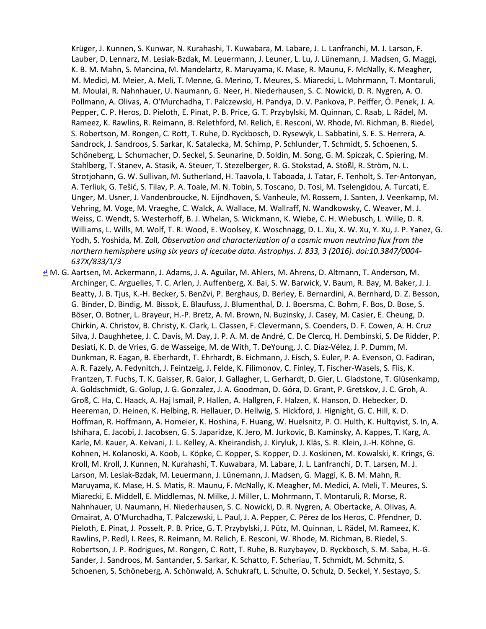Krüger, J. Kunnen, S. Kunwar, N. Kurahashi, T. Kuwabara, M. Labare, J. L. Lanfranchi, M. J. Larson, F. Lauber, D. Lennarz, M. Lesiak-Bzdak, M. Leuermann, J. Leuner, L. Lu, J. Lünemann, J. Madsen, G. Maggi, K. B. M. Mahn, S. Mancina, M. Mandelartz, R. Maruyama, K. Mase, R. Maunu, F. McNally, K. Meagher, M. Medici, M. Meier, A. Meli, T. Menne, G. Merino, T. Meures, S. Miarecki, L. Mohrmann, T. Montaruli, M. Moulai, R. Nahnhauer, U. Naumann, G. Neer, H. Niederhausen, S. C. Nowicki, D. R. Nygren, A. O. Pollmann, A. Olivas, A. O'Murchadha, T. Palczewski, H. Pandya, D. V. Pankova, P. Peiffer, Ö. Penek, J. A. Pepper, C. P. Heros, D. Pieloth, E. Pinat, P. B. Price, G. T. Przybylski, M. Quinnan, C. Raab, L. Rädel, M. Rameez, K. Rawlins, R. Reimann, B. Relethford, M. Relich, E. Resconi, W. Rhode, M. Richman, B. Riedel, S. Robertson, M. Rongen, C. Rott, T. Ruhe, D. Ryckbosch, D. Rysewyk, L. Sabbatini, S. E. S. Herrera, A. Sandrock, J. Sandroos, S. Sarkar, K. Satalecka, M. Schimp, P. Schlunder, T. Schmidt, S. Schoenen, S. Schöneberg, L. Schumacher, D. Seckel, S. Seunarine, D. Soldin, M. Song, G. M. Spiczak, C. Spiering, M. Stahlberg, T. Stanev, A. Stasik, A. Steuer, T. Stezelberger, R. G. Stokstad, A. Stößl, R. Ström, N. L. Strotjohann, G. W. Sullivan, M. Sutherland, H. Taavola, I. Taboada, J. Tatar, F. Tenholt, S. Ter-Antonyan, A. Terliuk, G. Tešić, S. Tilav, P. A. Toale, M. N. Tobin, S. Toscano, D. Tosi, M. Tselengidou, A. Turcati, E. Unger, M. Usner, J. Vandenbroucke, N. Eijndhoven, S. Vanheule, M. Rossem, J. Santen, J. Veenkamp, M. Vehring, M. Voge, M. Vraeghe, C. Walck, A. Wallace, M. Wallraff, N. Wandkowsky, C. Weaver, M. J. Weiss, C. Wendt, S. Westerhoff, B. J. Whelan, S. Wickmann, K. Wiebe, C. H. Wiebusch, L. Wille, D. R. Williams, L. Wills, M. Wolf, T. R. Wood, E. Woolsey, K. Woschnagg, D. L. Xu, X. W. Xu, Y. Xu, J. P. Yanez, G. Yodh, S. Yoshida, M. Zoll*, Observation and characterization of a cosmic muon neutrino flux from the northern hemisphere using six years of icecube data. Astrophys. J. 833, 3 (2016). doi:10.3847/0004- 637X/833/1/3*

[↵](https://science.sciencemag.org/content/361/6398/147#xref-ref-18-1) M. G. Aartsen, M. Ackermann, J. Adams, J. A. Aguilar, M. Ahlers, M. Ahrens, D. Altmann, T. Anderson, M. Archinger, C. Arguelles, T. C. Arlen, J. Auffenberg, X. Bai, S. W. Barwick, V. Baum, R. Bay, M. Baker, J. J. Beatty, J. B. Tjus, K.-H. Becker, S. BenZvi, P. Berghaus, D. Berley, E. Bernardini, A. Bernhard, D. Z. Besson, G. Binder, D. Bindig, M. Bissok, E. Blaufuss, J. Blumenthal, D. J. Boersma, C. Bohm, F. Bos, D. Bose, S. Böser, O. Botner, L. Brayeur, H.-P. Bretz, A. M. Brown, N. Buzinsky, J. Casey, M. Casier, E. Cheung, D. Chirkin, A. Christov, B. Christy, K. Clark, L. Classen, F. Clevermann, S. Coenders, D. F. Cowen, A. H. Cruz Silva, J. Daughhetee, J. C. Davis, M. Day, J. P. A. M. de André, C. De Clercq, H. Dembinski, S. De Ridder, P. Desiati, K. D. de Vries, G. de Wasseige, M. de With, T. DeYoung, J. C. Díaz-Vélez, J. P. Dumm, M. Dunkman, R. Eagan, B. Eberhardt, T. Ehrhardt, B. Eichmann, J. Eisch, S. Euler, P. A. Evenson, O. Fadiran, A. R. Fazely, A. Fedynitch, J. Feintzeig, J. Felde, K. Filimonov, C. Finley, T. Fischer-Wasels, S. Flis, K. Frantzen, T. Fuchs, T. K. Gaisser, R. Gaior, J. Gallagher, L. Gerhardt, D. Gier, L. Gladstone, T. Glüsenkamp, A. Goldschmidt, G. Golup, J. G. Gonzalez, J. A. Goodman, D. Góra, D. Grant, P. Gretskov, J. C. Groh, A. Groß, C. Ha, C. Haack, A. Haj Ismail, P. Hallen, A. Hallgren, F. Halzen, K. Hanson, D. Hebecker, D. Heereman, D. Heinen, K. Helbing, R. Hellauer, D. Hellwig, S. Hickford, J. Hignight, G. C. Hill, K. D. Hoffman, R. Hoffmann, A. Homeier, K. Hoshina, F. Huang, W. Huelsnitz, P. O. Hulth, K. Hultqvist, S. In, A. Ishihara, E. Jacobi, J. Jacobsen, G. S. Japaridze, K. Jero, M. Jurkovic, B. Kaminsky, A. Kappes, T. Karg, A. Karle, M. Kauer, A. Keivani, J. L. Kelley, A. Kheirandish, J. Kiryluk, J. Kläs, S. R. Klein, J.-H. Köhne, G. Kohnen, H. Kolanoski, A. Koob, L. Köpke, C. Kopper, S. Kopper, D. J. Koskinen, M. Kowalski, K. Krings, G. Kroll, M. Kroll, J. Kunnen, N. Kurahashi, T. Kuwabara, M. Labare, J. L. Lanfranchi, D. T. Larsen, M. J. Larson, M. Lesiak-Bzdak, M. Leuermann, J. Lünemann, J. Madsen, G. Maggi, K. B. M. Mahn, R. Maruyama, K. Mase, H. S. Matis, R. Maunu, F. McNally, K. Meagher, M. Medici, A. Meli, T. Meures, S. Miarecki, E. Middell, E. Middlemas, N. Milke, J. Miller, L. Mohrmann, T. Montaruli, R. Morse, R. Nahnhauer, U. Naumann, H. Niederhausen, S. C. Nowicki, D. R. Nygren, A. Obertacke, A. Olivas, A. Omairat, A. O'Murchadha, T. Palczewski, L. Paul, J. A. Pepper, C. Pérez de los Heros, C. Pfendner, D. Pieloth, E. Pinat, J. Posselt, P. B. Price, G. T. Przybylski, J. Pütz, M. Quinnan, L. Rädel, M. Rameez, K. Rawlins, P. Redl, I. Rees, R. Reimann, M. Relich, E. Resconi, W. Rhode, M. Richman, B. Riedel, S. Robertson, J. P. Rodrigues, M. Rongen, C. Rott, T. Ruhe, B. Ruzybayev, D. Ryckbosch, S. M. Saba, H.-G. Sander, J. Sandroos, M. Santander, S. Sarkar, K. Schatto, F. Scheriau, T. Schmidt, M. Schmitz, S. Schoenen, S. Schöneberg, A. Schönwald, A. Schukraft, L. Schulte, O. Schulz, D. Seckel, Y. Sestayo, S.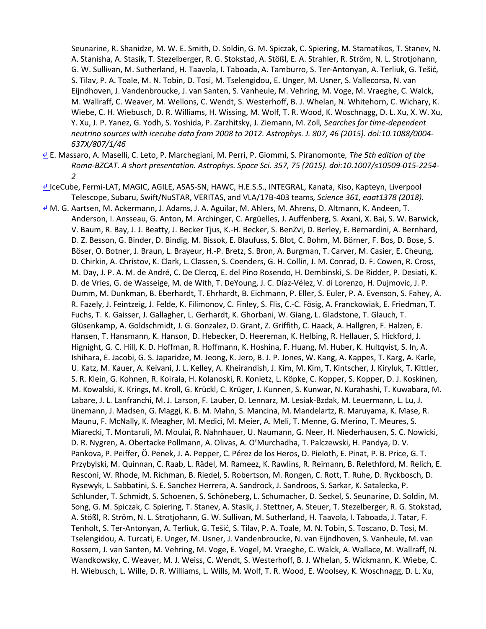Seunarine, R. Shanidze, M. W. E. Smith, D. Soldin, G. M. Spiczak, C. Spiering, M. Stamatikos, T. Stanev, N. A. Stanisha, A. Stasik, T. Stezelberger, R. G. Stokstad, A. Stößl, E. A. Strahler, R. Ström, N. L. Strotjohann, G. W. Sullivan, M. Sutherland, H. Taavola, I. Taboada, A. Tamburro, S. Ter-Antonyan, A. Terliuk, G. Tešić, S. Tilav, P. A. Toale, M. N. Tobin, D. Tosi, M. Tselengidou, E. Unger, M. Usner, S. Vallecorsa, N. van Eijndhoven, J. Vandenbroucke, J. van Santen, S. Vanheule, M. Vehring, M. Voge, M. Vraeghe, C. Walck, M. Wallraff, C. Weaver, M. Wellons, C. Wendt, S. Westerhoff, B. J. Whelan, N. Whitehorn, C. Wichary, K. Wiebe, C. H. Wiebusch, D. R. Williams, H. Wissing, M. Wolf, T. R. Wood, K. Woschnagg, D. L. Xu, X. W. Xu, Y. Xu, J. P. Yanez, G. Yodh, S. Yoshida, P. Zarzhitsky, J. Ziemann, M. Zoll*, Searches for time-dependent neutrino sources with icecube data from 2008 to 2012. Astrophys. J. 807, 46 (2015). doi:10.1088/0004- 637X/807/1/46*

- [↵](https://science.sciencemag.org/content/361/6398/147#xref-ref-19-1) E. Massaro, A. Maselli, C. Leto, P. Marchegiani, M. Perri, P. Giommi, S. Piranomonte*, The 5th edition of the Roma-BZCAT. A short presentation. Astrophys. Space Sci. 357, 75 (2015). doi:10.1007/s10509-015-2254- 2*
- [↵](https://science.sciencemag.org/content/361/6398/147#xref-ref-20-1) IceCube, Fermi-LAT, MAGIC, AGILE, ASAS-SN, HAWC, H.E.S.S., INTEGRAL, Kanata, Kiso, Kapteyn, Liverpool Telescope, Subaru, Swift/NuSTAR, VERITAS, and VLA/17B-403 teams*, Science 361, eaat1378 (2018).*
- [↵](https://science.sciencemag.org/content/361/6398/147#xref-ref-21-1) M. G. Aartsen, M. Ackermann, J. Adams, J. A. Aguilar, M. Ahlers, M. Ahrens, D. Altmann, K. Andeen, T. Anderson, I. Ansseau, G. Anton, M. Archinger, C. Argüelles, J. Auffenberg, S. Axani, X. Bai, S. W. Barwick, V. Baum, R. Bay, J. J. Beatty, J. Becker Tjus, K.-H. Becker, S. BenZvi, D. Berley, E. Bernardini, A. Bernhard, D. Z. Besson, G. Binder, D. Bindig, M. Bissok, E. Blaufuss, S. Blot, C. Bohm, M. Börner, F. Bos, D. Bose, S. Böser, O. Botner, J. Braun, L. Brayeur, H.-P. Bretz, S. Bron, A. Burgman, T. Carver, M. Casier, E. Cheung, D. Chirkin, A. Christov, K. Clark, L. Classen, S. Coenders, G. H. Collin, J. M. Conrad, D. F. Cowen, R. Cross, M. Day, J. P. A. M. de André, C. De Clercq, E. del Pino Rosendo, H. Dembinski, S. De Ridder, P. Desiati, K. D. de Vries, G. de Wasseige, M. de With, T. DeYoung, J. C. Díaz-Vélez, V. di Lorenzo, H. Dujmovic, J. P. Dumm, M. Dunkman, B. Eberhardt, T. Ehrhardt, B. Eichmann, P. Eller, S. Euler, P. A. Evenson, S. Fahey, A. R. Fazely, J. Feintzeig, J. Felde, K. Filimonov, C. Finley, S. Flis, C.-C. Fösig, A. Franckowiak, E. Friedman, T. Fuchs, T. K. Gaisser, J. Gallagher, L. Gerhardt, K. Ghorbani, W. Giang, L. Gladstone, T. Glauch, T. Glüsenkamp, A. Goldschmidt, J. G. Gonzalez, D. Grant, Z. Griffith, C. Haack, A. Hallgren, F. Halzen, E. Hansen, T. Hansmann, K. Hanson, D. Hebecker, D. Heereman, K. Helbing, R. Hellauer, S. Hickford, J. Hignight, G. C. Hill, K. D. Hoffman, R. Hoffmann, K. Hoshina, F. Huang, M. Huber, K. Hultqvist, S. In, A. Ishihara, E. Jacobi, G. S. Japaridze, M. Jeong, K. Jero, B. J. P. Jones, W. Kang, A. Kappes, T. Karg, A. Karle, U. Katz, M. Kauer, A. Keivani, J. L. Kelley, A. Kheirandish, J. Kim, M. Kim, T. Kintscher, J. Kiryluk, T. Kittler, S. R. Klein, G. Kohnen, R. Koirala, H. Kolanoski, R. Konietz, L. Köpke, C. Kopper, S. Kopper, D. J. Koskinen, M. Kowalski, K. Krings, M. Kroll, G. Krückl, C. Krüger, J. Kunnen, S. Kunwar, N. Kurahashi, T. Kuwabara, M. Labare, J. L. Lanfranchi, M. J. Larson, F. Lauber, D. Lennarz, M. Lesiak-Bzdak, M. Leuermann, L. Lu, J. ünemann, J. Madsen, G. Maggi, K. B. M. Mahn, S. Mancina, M. Mandelartz, R. Maruyama, K. Mase, R. Maunu, F. McNally, K. Meagher, M. Medici, M. Meier, A. Meli, T. Menne, G. Merino, T. Meures, S. Miarecki, T. Montaruli, M. Moulai, R. Nahnhauer, U. Naumann, G. Neer, H. Niederhausen, S. C. Nowicki, D. R. Nygren, A. Obertacke Pollmann, A. Olivas, A. O'Murchadha, T. Palczewski, H. Pandya, D. V. Pankova, P. Peiffer, Ö. Penek, J. A. Pepper, C. Pérez de los Heros, D. Pieloth, E. Pinat, P. B. Price, G. T. Przybylski, M. Quinnan, C. Raab, L. Rädel, M. Rameez, K. Rawlins, R. Reimann, B. Relethford, M. Relich, E. Resconi, W. Rhode, M. Richman, B. Riedel, S. Robertson, M. Rongen, C. Rott, T. Ruhe, D. Ryckbosch, D. Rysewyk, L. Sabbatini, S. E. Sanchez Herrera, A. Sandrock, J. Sandroos, S. Sarkar, K. Satalecka, P. Schlunder, T. Schmidt, S. Schoenen, S. Schöneberg, L. Schumacher, D. Seckel, S. Seunarine, D. Soldin, M. Song, G. M. Spiczak, C. Spiering, T. Stanev, A. Stasik, J. Stettner, A. Steuer, T. Stezelberger, R. G. Stokstad, A. Stößl, R. Ström, N. L. Strotjohann, G. W. Sullivan, M. Sutherland, H. Taavola, I. Taboada, J. Tatar, F. Tenholt, S. Ter-Antonyan, A. Terliuk, G. Tešić, S. Tilav, P. A. Toale, M. N. Tobin, S. Toscano, D. Tosi, M. Tselengidou, A. Turcati, E. Unger, M. Usner, J. Vandenbroucke, N. van Eijndhoven, S. Vanheule, M. van Rossem, J. van Santen, M. Vehring, M. Voge, E. Vogel, M. Vraeghe, C. Walck, A. Wallace, M. Wallraff, N. Wandkowsky, C. Weaver, M. J. Weiss, C. Wendt, S. Westerhoff, B. J. Whelan, S. Wickmann, K. Wiebe, C. H. Wiebusch, L. Wille, D. R. Williams, L. Wills, M. Wolf, T. R. Wood, E. Woolsey, K. Woschnagg, D. L. Xu,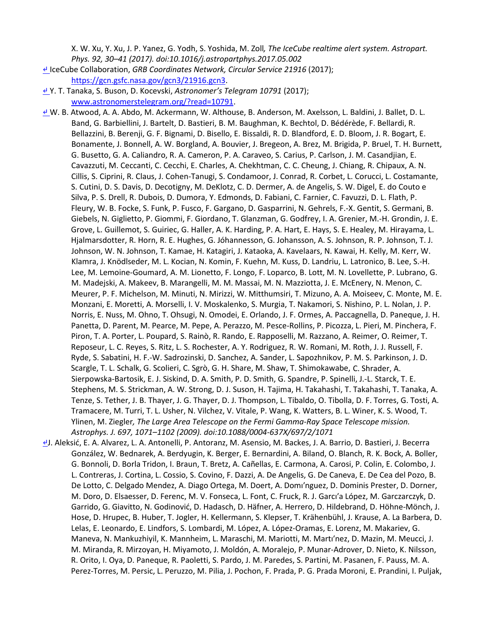X. W. Xu, Y. Xu, J. P. Yanez, G. Yodh, S. Yoshida, M. Zoll*, The IceCube realtime alert system. Astropart. Phys. 92, 30–41 (2017). doi:10.1016/j.astropartphys.2017.05.002*

- [↵](https://science.sciencemag.org/content/361/6398/147#xref-ref-22-1) IceCube Collaboration, *GRB Coordinates Network, Circular Service 21916* (2017); [https://gcn.gsfc.nasa.gov/gcn3/21916.gcn3.](https://gcn.gsfc.nasa.gov/gcn3/21916.gcn3)
- [↵](https://science.sciencemag.org/content/361/6398/147#xref-ref-23-1) Y. T. Tanaka, S. Buson, D. Kocevski, *Astronomer's Telegram 10791* (2017); [www.astronomerstelegram.org/?read=10791](http://www.astronomerstelegram.org/?read=10791).
- [↵](https://science.sciencemag.org/content/361/6398/147#xref-ref-24-1) W. B. Atwood, A. A. Abdo, M. Ackermann, W. Althouse, B. Anderson, M. Axelsson, L. Baldini, J. Ballet, D. L. Band, G. Barbiellini, J. Bartelt, D. Bastieri, B. M. Baughman, K. Bechtol, D. Bédérède, F. Bellardi, R. Bellazzini, B. Berenji, G. F. Bignami, D. Bisello, E. Bissaldi, R. D. Blandford, E. D. Bloom, J. R. Bogart, E. Bonamente, J. Bonnell, A. W. Borgland, A. Bouvier, J. Bregeon, A. Brez, M. Brigida, P. Bruel, T. H. Burnett, G. Busetto, G. A. Caliandro, R. A. Cameron, P. A. Caraveo, S. Carius, P. Carlson, J. M. Casandjian, E. Cavazzuti, M. Ceccanti, C. Cecchi, E. Charles, A. Chekhtman, C. C. Cheung, J. Chiang, R. Chipaux, A. N. Cillis, S. Ciprini, R. Claus, J. Cohen-Tanugi, S. Condamoor, J. Conrad, R. Corbet, L. Corucci, L. Costamante, S. Cutini, D. S. Davis, D. Decotigny, M. DeKlotz, C. D. Dermer, A. de Angelis, S. W. Digel, E. do Couto e Silva, P. S. Drell, R. Dubois, D. Dumora, Y. Edmonds, D. Fabiani, C. Farnier, C. Favuzzi, D. L. Flath, P. Fleury, W. B. Focke, S. Funk, P. Fusco, F. Gargano, D. Gasparrini, N. Gehrels, F.-X. Gentit, S. Germani, B. Giebels, N. Giglietto, P. Giommi, F. Giordano, T. Glanzman, G. Godfrey, I. A. Grenier, M.-H. Grondin, J. E. Grove, L. Guillemot, S. Guiriec, G. Haller, A. K. Harding, P. A. Hart, E. Hays, S. E. Healey, M. Hirayama, L. Hjalmarsdotter, R. Horn, R. E. Hughes, G. Jóhannesson, G. Johansson, A. S. Johnson, R. P. Johnson, T. J. Johnson, W. N. Johnson, T. Kamae, H. Katagiri, J. Kataoka, A. Kavelaars, N. Kawai, H. Kelly, M. Kerr, W. Klamra, J. Knödlseder, M. L. Kocian, N. Komin, F. Kuehn, M. Kuss, D. Landriu, L. Latronico, B. Lee, S.-H. Lee, M. Lemoine-Goumard, A. M. Lionetto, F. Longo, F. Loparco, B. Lott, M. N. Lovellette, P. Lubrano, G. M. Madejski, A. Makeev, B. Marangelli, M. M. Massai, M. N. Mazziotta, J. E. McEnery, N. Menon, C. Meurer, P. F. Michelson, M. Minuti, N. Mirizzi, W. Mitthumsiri, T. Mizuno, A. A. Moiseev, C. Monte, M. E. Monzani, E. Moretti, A. Morselli, I. V. Moskalenko, S. Murgia, T. Nakamori, S. Nishino, P. L. Nolan, J. P. Norris, E. Nuss, M. Ohno, T. Ohsugi, N. Omodei, E. Orlando, J. F. Ormes, A. Paccagnella, D. Paneque, J. H. Panetta, D. Parent, M. Pearce, M. Pepe, A. Perazzo, M. Pesce-Rollins, P. Picozza, L. Pieri, M. Pinchera, F. Piron, T. A. Porter, L. Poupard, S. Rainò, R. Rando, E. Rapposelli, M. Razzano, A. Reimer, O. Reimer, T. Reposeur, L. C. Reyes, S. Ritz, L. S. Rochester, A. Y. Rodriguez, R. W. Romani, M. Roth, J. J. Russell, F. Ryde, S. Sabatini, H. F.-W. Sadrozinski, D. Sanchez, A. Sander, L. Sapozhnikov, P. M. S. Parkinson, J. D. Scargle, T. L. Schalk, G. Scolieri, C. Sgrò, G. H. Share, M. Shaw, T. Shimokawabe, C. Shrader, A. Sierpowska-Bartosik, E. J. Siskind, D. A. Smith, P. D. Smith, G. Spandre, P. Spinelli, J.-L. Starck, T. E. Stephens, M. S. Strickman, A. W. Strong, D. J. Suson, H. Tajima, H. Takahashi, T. Takahashi, T. Tanaka, A. Tenze, S. Tether, J. B. Thayer, J. G. Thayer, D. J. Thompson, L. Tibaldo, O. Tibolla, D. F. Torres, G. Tosti, A. Tramacere, M. Turri, T. L. Usher, N. Vilchez, V. Vitale, P. Wang, K. Watters, B. L. Winer, K. S. Wood, T. Ylinen, M. Ziegler*, The Large Area Telescope on the Fermi Gamma-Ray Space Telescope mission. Astrophys. J. 697, 1071–1102 (2009). doi:10.1088/0004-637X/697/2/1071*
- [↵](https://science.sciencemag.org/content/361/6398/147#xref-ref-25-1)J. Aleksić, E. A. Alvarez, L. A. Antonelli, P. Antoranz, M. Asensio, M. Backes, J. A. Barrio, D. Bastieri, J. Becerra González, W. Bednarek, A. Berdyugin, K. Berger, E. Bernardini, A. Biland, O. Blanch, R. K. Bock, A. Boller, G. Bonnoli, D. Borla Tridon, I. Braun, T. Bretz, A. Cañellas, E. Carmona, A. Carosi, P. Colin, E. Colombo, J. L. Contreras, J. Cortina, L. Cossio, S. Covino, F. Dazzi, A. De Angelis, G. De Caneva, E. De Cea del Pozo, B. De Lotto, C. Delgado Mendez, A. Diago Ortega, M. Doert, A. Domı′nguez, D. Dominis Prester, D. Dorner, M. Doro, D. Elsaesser, D. Ferenc, M. V. Fonseca, L. Font, C. Fruck, R. J. Garcı′a López, M. Garczarczyk, D. Garrido, G. Giavitto, N. Godinović, D. Hadasch, D. Häfner, A. Herrero, D. Hildebrand, D. Höhne-Mönch, J. Hose, D. Hrupec, B. Huber, T. Jogler, H. Kellermann, S. Klepser, T. Krähenbühl, J. Krause, A. La Barbera, D. Lelas, E. Leonardo, E. Lindfors, S. Lombardi, M. López, A. López-Oramas, E. Lorenz, M. Makariev, G. Maneva, N. Mankuzhiyil, K. Mannheim, L. Maraschi, M. Mariotti, M. Martı′nez, D. Mazin, M. Meucci, J. M. Miranda, R. Mirzoyan, H. Miyamoto, J. Moldón, A. Moralejo, P. Munar-Adrover, D. Nieto, K. Nilsson, R. Orito, I. Oya, D. Paneque, R. Paoletti, S. Pardo, J. M. Paredes, S. Partini, M. Pasanen, F. Pauss, M. A. Perez-Torres, M. Persic, L. Peruzzo, M. Pilia, J. Pochon, F. Prada, P. G. Prada Moroni, E. Prandini, I. Puljak,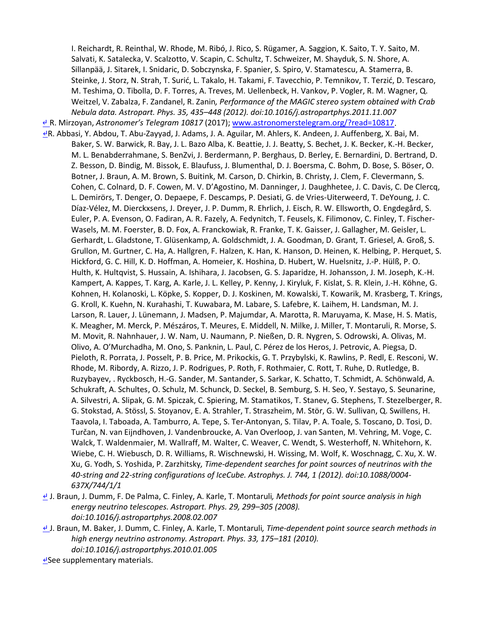I. Reichardt, R. Reinthal, W. Rhode, M. Ribó, J. Rico, S. Rügamer, A. Saggion, K. Saito, T. Y. Saito, M. Salvati, K. Satalecka, V. Scalzotto, V. Scapin, C. Schultz, T. Schweizer, M. Shayduk, S. N. Shore, A. Sillanpää, J. Sitarek, I. Snidaric, D. Sobczynska, F. Spanier, S. Spiro, V. Stamatescu, A. Stamerra, B. Steinke, J. Storz, N. Strah, T. Surić, L. Takalo, H. Takami, F. Tavecchio, P. Temnikov, T. Terzić, D. Tescaro, M. Teshima, O. Tibolla, D. F. Torres, A. Treves, M. Uellenbeck, H. Vankov, P. Vogler, R. M. Wagner, Q. Weitzel, V. Zabalza, F. Zandanel, R. Zanin*, Performance of the MAGIC stereo system obtained with Crab Nebula data. Astropart. Phys. 35, 435–448 (2012). doi:10.1016/j.astropartphys.2011.11.007* [↵](https://science.sciencemag.org/content/361/6398/147#xref-ref-26-1) R. Mirzoyan, *Astronomer's Telegram 10817* (2017); [www.astronomerstelegram.or](http://www.astronomerstelegram.org/?read=10817)g/?read=10817. [↵](https://science.sciencemag.org/content/361/6398/147#xref-ref-27-1)R. Abbasi, Y. Abdou, T. Abu-Zayyad, J. Adams, J. A. Aguilar, M. Ahlers, K. Andeen, J. Auffenberg, X. Bai, M. Baker, S. W. Barwick, R. Bay, J. L. Bazo Alba, K. Beattie, J. J. Beatty, S. Bechet, J. K. Becker, K.-H. Becker, M. L. Benabderrahmane, S. BenZvi, J. Berdermann, P. Berghaus, D. Berley, E. Bernardini, D. Bertrand, D. Z. Besson, D. Bindig, M. Bissok, E. Blaufuss, J. Blumenthal, D. J. Boersma, C. Bohm, D. Bose, S. Böser, O. Botner, J. Braun, A. M. Brown, S. Buitink, M. Carson, D. Chirkin, B. Christy, J. Clem, F. Clevermann, S. Cohen, C. Colnard, D. F. Cowen, M. V. D'Agostino, M. Danninger, J. Daughhetee, J. C. Davis, C. De Clercq, L. Demirörs, T. Denger, O. Depaepe, F. Descamps, P. Desiati, G. de Vries-Uiterweerd, T. DeYoung, J. C. Díaz-Vélez, M. Dierckxsens, J. Dreyer, J. P. Dumm, R. Ehrlich, J. Eisch, R. W. Ellsworth, O. Engdegård, S. Euler, P. A. Evenson, O. Fadiran, A. R. Fazely, A. Fedynitch, T. Feusels, K. Filimonov, C. Finley, T. Fischer-Wasels, M. M. Foerster, B. D. Fox, A. Franckowiak, R. Franke, T. K. Gaisser, J. Gallagher, M. Geisler, L. Gerhardt, L. Gladstone, T. Glüsenkamp, A. Goldschmidt, J. A. Goodman, D. Grant, T. Griesel, A. Groß, S. Grullon, M. Gurtner, C. Ha, A. Hallgren, F. Halzen, K. Han, K. Hanson, D. Heinen, K. Helbing, P. Herquet, S. Hickford, G. C. Hill, K. D. Hoffman, A. Homeier, K. Hoshina, D. Hubert, W. Huelsnitz, J.-P. Hülß, P. O. Hulth, K. Hultqvist, S. Hussain, A. Ishihara, J. Jacobsen, G. S. Japaridze, H. Johansson, J. M. Joseph, K.-H. Kampert, A. Kappes, T. Karg, A. Karle, J. L. Kelley, P. Kenny, J. Kiryluk, F. Kislat, S. R. Klein, J.-H. Köhne, G. Kohnen, H. Kolanoski, L. Köpke, S. Kopper, D. J. Koskinen, M. Kowalski, T. Kowarik, M. Krasberg, T. Krings, G. Kroll, K. Kuehn, N. Kurahashi, T. Kuwabara, M. Labare, S. Lafebre, K. Laihem, H. Landsman, M. J. Larson, R. Lauer, J. Lünemann, J. Madsen, P. Majumdar, A. Marotta, R. Maruyama, K. Mase, H. S. Matis, K. Meagher, M. Merck, P. Mészáros, T. Meures, E. Middell, N. Milke, J. Miller, T. Montaruli, R. Morse, S. M. Movit, R. Nahnhauer, J. W. Nam, U. Naumann, P. Nießen, D. R. Nygren, S. Odrowski, A. Olivas, M. Olivo, A. O'Murchadha, M. Ono, S. Panknin, L. Paul, C. Pérez de los Heros, J. Petrovic, A. Piegsa, D. Pieloth, R. Porrata, J. Posselt, P. B. Price, M. Prikockis, G. T. Przybylski, K. Rawlins, P. Redl, E. Resconi, W. Rhode, M. Ribordy, A. Rizzo, J. P. Rodrigues, P. Roth, F. Rothmaier, C. Rott, T. Ruhe, D. Rutledge, B. Ruzybayev, . Ryckbosch, H.-G. Sander, M. Santander, S. Sarkar, K. Schatto, T. Schmidt, A. Schönwald, A. Schukraft, A. Schultes, O. Schulz, M. Schunck, D. Seckel, B. Semburg, S. H. Seo, Y. Sestayo, S. Seunarine, A. Silvestri, A. Slipak, G. M. Spiczak, C. Spiering, M. Stamatikos, T. Stanev, G. Stephens, T. Stezelberger, R. G. Stokstad, A. Stössl, S. Stoyanov, E. A. Strahler, T. Straszheim, M. Stör, G. W. Sullivan, Q. Swillens, H. Taavola, I. Taboada, A. Tamburro, A. Tepe, S. Ter-Antonyan, S. Tilav, P. A. Toale, S. Toscano, D. Tosi, D. Turčan, N. van Eijndhoven, J. Vandenbroucke, A. Van Overloop, J. van Santen, M. Vehring, M. Voge, C. Walck, T. Waldenmaier, M. Wallraff, M. Walter, C. Weaver, C. Wendt, S. Westerhoff, N. Whitehorn, K. Wiebe, C. H. Wiebusch, D. R. Williams, R. Wischnewski, H. Wissing, M. Wolf, K. Woschnagg, C. Xu, X. W. Xu, G. Yodh, S. Yoshida, P. Zarzhitsky*, Time-dependent searches for point sources of neutrinos with the 40-string and 22-string configurations of IceCube. Astrophys. J. 744, 1 (2012). doi:10.1088/0004- 637X/744/1/1*

[↵](https://science.sciencemag.org/content/361/6398/147#xref-ref-28-1) J. Braun, J. Dumm, F. De Palma, C. Finley, A. Karle, T. Montaruli*, Methods for point source analysis in high energy neutrino telescopes. Astropart. Phys. 29, 299–305 (2008). doi:10.1016/j.astropartphys.2008.02.007*

[↵](https://science.sciencemag.org/content/361/6398/147#xref-ref-29-1) J. Braun, M. Baker, J. Dumm, C. Finley, A. Karle, T. Montaruli*, Time-dependent point source search methods in high energy neutrino astronomy. Astropart. Phys. 33, 175–181 (2010). doi:10.1016/j.astropartphys.2010.01.005*

[<sup>↵</sup>](https://science.sciencemag.org/content/361/6398/147#xref-ref-30-1)See supplementary materials.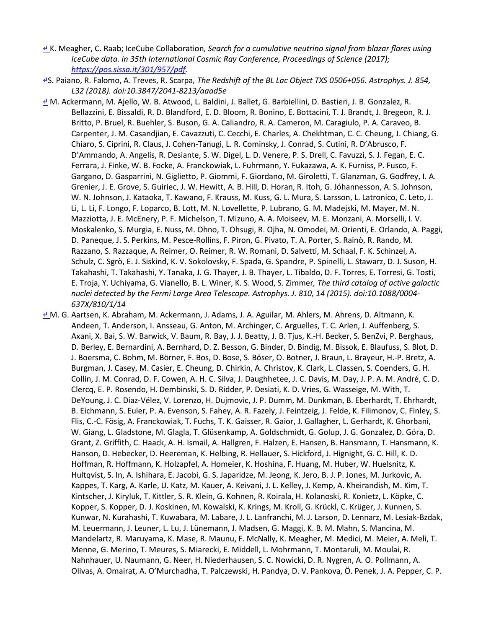- [↵](https://science.sciencemag.org/content/361/6398/147#xref-ref-31-1) K. Meagher, C. Raab; IceCube Collaboration*, Search for a cumulative neutrino signal from blazar flares using IceCube data. in 35th International Cosmic Ray Conference, Proceedings of Science (2017); [https://pos.sissa.it/301/957/pdf.](https://pos.sissa.it/301/957/pdf)*
- [↵](https://science.sciencemag.org/content/361/6398/147#xref-ref-32-1)S. Paiano, R. Falomo, A. Treves, R. Scarpa*, The Redshift of the BL Lac Object TXS 0506+056. Astrophys. J. 854, L32 (2018). doi:10.3847/2041-8213/aaad5e*
- [↵](https://science.sciencemag.org/content/361/6398/147#xref-ref-33-1) M. Ackermann, M. Ajello, W. B. Atwood, L. Baldini, J. Ballet, G. Barbiellini, D. Bastieri, J. B. Gonzalez, R. Bellazzini, E. Bissaldi, R. D. Blandford, E. D. Bloom, R. Bonino, E. Bottacini, T. J. Brandt, J. Bregeon, R. J. Britto, P. Bruel, R. Buehler, S. Buson, G. A. Caliandro, R. A. Cameron, M. Caragiulo, P. A. Caraveo, B. Carpenter, J. M. Casandjian, E. Cavazzuti, C. Cecchi, E. Charles, A. Chekhtman, C. C. Cheung, J. Chiang, G. Chiaro, S. Ciprini, R. Claus, J. Cohen-Tanugi, L. R. Cominsky, J. Conrad, S. Cutini, R. D'Abrusco, F. D'Ammando, A. Angelis, R. Desiante, S. W. Digel, L. D. Venere, P. S. Drell, C. Favuzzi, S. J. Fegan, E. C. Ferrara, J. Finke, W. B. Focke, A. Franckowiak, L. Fuhrmann, Y. Fukazawa, A. K. Furniss, P. Fusco, F. Gargano, D. Gasparrini, N. Giglietto, P. Giommi, F. Giordano, M. Giroletti, T. Glanzman, G. Godfrey, I. A. Grenier, J. E. Grove, S. Guiriec, J. W. Hewitt, A. B. Hill, D. Horan, R. Itoh, G. Jóhannesson, A. S. Johnson, W. N. Johnson, J. Kataoka, T. Kawano, F. Krauss, M. Kuss, G. L. Mura, S. Larsson, L. Latronico, C. Leto, J. Li, L. Li, F. Longo, F. Loparco, B. Lott, M. N. Lovellette, P. Lubrano, G. M. Madejski, M. Mayer, M. N. Mazziotta, J. E. McEnery, P. F. Michelson, T. Mizuno, A. A. Moiseev, M. E. Monzani, A. Morselli, I. V. Moskalenko, S. Murgia, E. Nuss, M. Ohno, T. Ohsugi, R. Ojha, N. Omodei, M. Orienti, E. Orlando, A. Paggi, D. Paneque, J. S. Perkins, M. Pesce-Rollins, F. Piron, G. Pivato, T. A. Porter, S. Rainò, R. Rando, M. Razzano, S. Razzaque, A. Reimer, O. Reimer, R. W. Romani, D. Salvetti, M. Schaal, F. K. Schinzel, A. Schulz, C. Sgrò, E. J. Siskind, K. V. Sokolovsky, F. Spada, G. Spandre, P. Spinelli, L. Stawarz, D. J. Suson, H. Takahashi, T. Takahashi, Y. Tanaka, J. G. Thayer, J. B. Thayer, L. Tibaldo, D. F. Torres, E. Torresi, G. Tosti, E. Troja, Y. Uchiyama, G. Vianello, B. L. Winer, K. S. Wood, S. Zimmer*, The third catalog of active galactic nuclei detected by the Fermi Large Area Telescope. Astrophys. J. 810, 14 (2015). doi:10.1088/0004- 637X/810/1/14*
- [↵](https://science.sciencemag.org/content/361/6398/147#xref-ref-34-1) M. G. Aartsen, K. Abraham, M. Ackermann, J. Adams, J. A. Aguilar, M. Ahlers, M. Ahrens, D. Altmann, K. Andeen, T. Anderson, I. Ansseau, G. Anton, M. Archinger, C. Arguelles, T. C. Arlen, J. Auffenberg, S. Axani, X. Bai, S. W. Barwick, V. Baum, R. Bay, J. J. Beatty, J. B. Tjus, K.-H. Becker, S. BenZvi, P. Berghaus, D. Berley, E. Bernardini, A. Bernhard, D. Z. Besson, G. Binder, D. Bindig, M. Bissok, E. Blaufuss, S. Blot, D. J. Boersma, C. Bohm, M. Börner, F. Bos, D. Bose, S. Böser, O. Botner, J. Braun, L. Brayeur, H.-P. Bretz, A. Burgman, J. Casey, M. Casier, E. Cheung, D. Chirkin, A. Christov, K. Clark, L. Classen, S. Coenders, G. H. Collin, J. M. Conrad, D. F. Cowen, A. H. C. Silva, J. Daughhetee, J. C. Davis, M. Day, J. P. A. M. André, C. D. Clercq, E. P. Rosendo, H. Dembinski, S. D. Ridder, P. Desiati, K. D. Vries, G. Wasseige, M. With, T. DeYoung, J. C. Díaz-Vélez, V. Lorenzo, H. Dujmovic, J. P. Dumm, M. Dunkman, B. Eberhardt, T. Ehrhardt, B. Eichmann, S. Euler, P. A. Evenson, S. Fahey, A. R. Fazely, J. Feintzeig, J. Felde, K. Filimonov, C. Finley, S. Flis, C.-C. Fösig, A. Franckowiak, T. Fuchs, T. K. Gaisser, R. Gaior, J. Gallagher, L. Gerhardt, K. Ghorbani, W. Giang, L. Gladstone, M. Glagla, T. Glüsenkamp, A. Goldschmidt, G. Golup, J. G. Gonzalez, D. Góra, D. Grant, Z. Griffith, C. Haack, A. H. Ismail, A. Hallgren, F. Halzen, E. Hansen, B. Hansmann, T. Hansmann, K. Hanson, D. Hebecker, D. Heereman, K. Helbing, R. Hellauer, S. Hickford, J. Hignight, G. C. Hill, K. D. Hoffman, R. Hoffmann, K. Holzapfel, A. Homeier, K. Hoshina, F. Huang, M. Huber, W. Huelsnitz, K. Hultqvist, S. In, A. Ishihara, E. Jacobi, G. S. Japaridze, M. Jeong, K. Jero, B. J. P. Jones, M. Jurkovic, A. Kappes, T. Karg, A. Karle, U. Katz, M. Kauer, A. Keivani, J. L. Kelley, J. Kemp, A. Kheirandish, M. Kim, T. Kintscher, J. Kiryluk, T. Kittler, S. R. Klein, G. Kohnen, R. Koirala, H. Kolanoski, R. Konietz, L. Köpke, C. Kopper, S. Kopper, D. J. Koskinen, M. Kowalski, K. Krings, M. Kroll, G. Krückl, C. Krüger, J. Kunnen, S. Kunwar, N. Kurahashi, T. Kuwabara, M. Labare, J. L. Lanfranchi, M. J. Larson, D. Lennarz, M. Lesiak-Bzdak, M. Leuermann, J. Leuner, L. Lu, J. Lünemann, J. Madsen, G. Maggi, K. B. M. Mahn, S. Mancina, M. Mandelartz, R. Maruyama, K. Mase, R. Maunu, F. McNally, K. Meagher, M. Medici, M. Meier, A. Meli, T. Menne, G. Merino, T. Meures, S. Miarecki, E. Middell, L. Mohrmann, T. Montaruli, M. Moulai, R. Nahnhauer, U. Naumann, G. Neer, H. Niederhausen, S. C. Nowicki, D. R. Nygren, A. O. Pollmann, A. Olivas, A. Omairat, A. O'Murchadha, T. Palczewski, H. Pandya, D. V. Pankova, Ö. Penek, J. A. Pepper, C. P.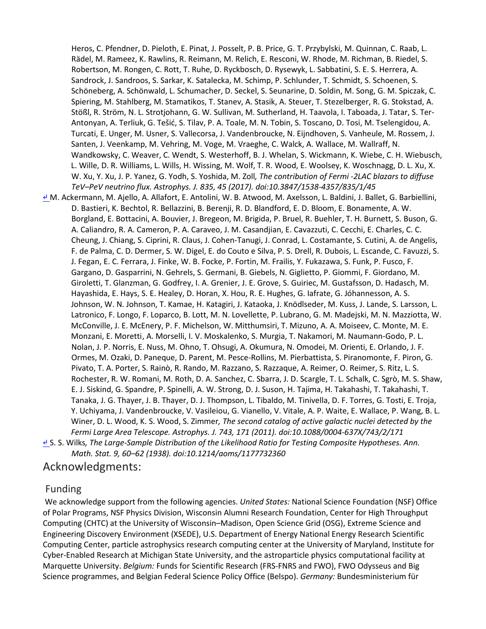Heros, C. Pfendner, D. Pieloth, E. Pinat, J. Posselt, P. B. Price, G. T. Przybylski, M. Quinnan, C. Raab, L. Rädel, M. Rameez, K. Rawlins, R. Reimann, M. Relich, E. Resconi, W. Rhode, M. Richman, B. Riedel, S. Robertson, M. Rongen, C. Rott, T. Ruhe, D. Ryckbosch, D. Rysewyk, L. Sabbatini, S. E. S. Herrera, A. Sandrock, J. Sandroos, S. Sarkar, K. Satalecka, M. Schimp, P. Schlunder, T. Schmidt, S. Schoenen, S. Schöneberg, A. Schönwald, L. Schumacher, D. Seckel, S. Seunarine, D. Soldin, M. Song, G. M. Spiczak, C. Spiering, M. Stahlberg, M. Stamatikos, T. Stanev, A. Stasik, A. Steuer, T. Stezelberger, R. G. Stokstad, A. Stößl, R. Ström, N. L. Strotjohann, G. W. Sullivan, M. Sutherland, H. Taavola, I. Taboada, J. Tatar, S. Ter-Antonyan, A. Terliuk, G. Tešić, S. Tilav, P. A. Toale, M. N. Tobin, S. Toscano, D. Tosi, M. Tselengidou, A. Turcati, E. Unger, M. Usner, S. Vallecorsa, J. Vandenbroucke, N. Eijndhoven, S. Vanheule, M. Rossem, J. Santen, J. Veenkamp, M. Vehring, M. Voge, M. Vraeghe, C. Walck, A. Wallace, M. Wallraff, N. Wandkowsky, C. Weaver, C. Wendt, S. Westerhoff, B. J. Whelan, S. Wickmann, K. Wiebe, C. H. Wiebusch, L. Wille, D. R. Williams, L. Wills, H. Wissing, M. Wolf, T. R. Wood, E. Woolsey, K. Woschnagg, D. L. Xu, X. W. Xu, Y. Xu, J. P. Yanez, G. Yodh, S. Yoshida, M. Zoll*, The contribution of Fermi -2LAC blazars to diffuse TeV–PeV neutrino flux. Astrophys. J. 835, 45 (2017). doi:10.3847/1538-4357/835/1/45*

[↵](https://science.sciencemag.org/content/361/6398/147#xref-ref-35-1) M. Ackermann, M. Ajello, A. Allafort, E. Antolini, W. B. Atwood, M. Axelsson, L. Baldini, J. Ballet, G. Barbiellini, D. Bastieri, K. Bechtol, R. Bellazzini, B. Berenji, R. D. Blandford, E. D. Bloom, E. Bonamente, A. W. Borgland, E. Bottacini, A. Bouvier, J. Bregeon, M. Brigida, P. Bruel, R. Buehler, T. H. Burnett, S. Buson, G. A. Caliandro, R. A. Cameron, P. A. Caraveo, J. M. Casandjian, E. Cavazzuti, C. Cecchi, E. Charles, C. C. Cheung, J. Chiang, S. Ciprini, R. Claus, J. Cohen-Tanugi, J. Conrad, L. Costamante, S. Cutini, A. de Angelis, F. de Palma, C. D. Dermer, S. W. Digel, E. do Couto e Silva, P. S. Drell, R. Dubois, L. Escande, C. Favuzzi, S. J. Fegan, E. C. Ferrara, J. Finke, W. B. Focke, P. Fortin, M. Frailis, Y. Fukazawa, S. Funk, P. Fusco, F. Gargano, D. Gasparrini, N. Gehrels, S. Germani, B. Giebels, N. Giglietto, P. Giommi, F. Giordano, M. Giroletti, T. Glanzman, G. Godfrey, I. A. Grenier, J. E. Grove, S. Guiriec, M. Gustafsson, D. Hadasch, M. Hayashida, E. Hays, S. E. Healey, D. Horan, X. Hou, R. E. Hughes, G. Iafrate, G. Jóhannesson, A. S. Johnson, W. N. Johnson, T. Kamae, H. Katagiri, J. Kataoka, J. Knödlseder, M. Kuss, J. Lande, S. Larsson, L. Latronico, F. Longo, F. Loparco, B. Lott, M. N. Lovellette, P. Lubrano, G. M. Madejski, M. N. Mazziotta, W. McConville, J. E. McEnery, P. F. Michelson, W. Mitthumsiri, T. Mizuno, A. A. Moiseev, C. Monte, M. E. Monzani, E. Moretti, A. Morselli, I. V. Moskalenko, S. Murgia, T. Nakamori, M. Naumann-Godo, P. L. Nolan, J. P. Norris, E. Nuss, M. Ohno, T. Ohsugi, A. Okumura, N. Omodei, M. Orienti, E. Orlando, J. F. Ormes, M. Ozaki, D. Paneque, D. Parent, M. Pesce-Rollins, M. Pierbattista, S. Piranomonte, F. Piron, G. Pivato, T. A. Porter, S. Rainò, R. Rando, M. Razzano, S. Razzaque, A. Reimer, O. Reimer, S. Ritz, L. S. Rochester, R. W. Romani, M. Roth, D. A. Sanchez, C. Sbarra, J. D. Scargle, T. L. Schalk, C. Sgrò, M. S. Shaw, E. J. Siskind, G. Spandre, P. Spinelli, A. W. Strong, D. J. Suson, H. Tajima, H. Takahashi, T. Takahashi, T. Tanaka, J. G. Thayer, J. B. Thayer, D. J. Thompson, L. Tibaldo, M. Tinivella, D. F. Torres, G. Tosti, E. Troja, Y. Uchiyama, J. Vandenbroucke, V. Vasileiou, G. Vianello, V. Vitale, A. P. Waite, E. Wallace, P. Wang, B. L. Winer, D. L. Wood, K. S. Wood, S. Zimmer*, The second catalog of active galactic nuclei detected by the Fermi Large Area Telescope. Astrophys. J. 743, 171 (2011). doi:10.1088/0004-637X/743/2/171*

[↵](https://science.sciencemag.org/content/361/6398/147#xref-ref-36-1) S. S. Wilks*, The Large-Sample Distribution of the Likelihood Ratio for Testing Composite Hypotheses. Ann. Math. Stat. 9, 60–62 (1938). doi:10.1214/aoms/1177732360*

#### Acknowledgments:

#### Funding

We acknowledge support from the following agencies. *United States:* National Science Foundation (NSF) Office of Polar Programs, NSF Physics Division, Wisconsin Alumni Research Foundation, Center for High Throughput Computing (CHTC) at the University of Wisconsin–Madison, Open Science Grid (OSG), Extreme Science and Engineering Discovery Environment (XSEDE), U.S. Department of Energy National Energy Research Scientific Computing Center, particle astrophysics research computing center at the University of Maryland, Institute for Cyber-Enabled Research at Michigan State University, and the astroparticle physics computational facility at Marquette University. *Belgium:* Funds for Scientific Research (FRS-FNRS and FWO), FWO Odysseus and Big Science programmes, and Belgian Federal Science Policy Office (Belspo). *Germany:* Bundesministerium für